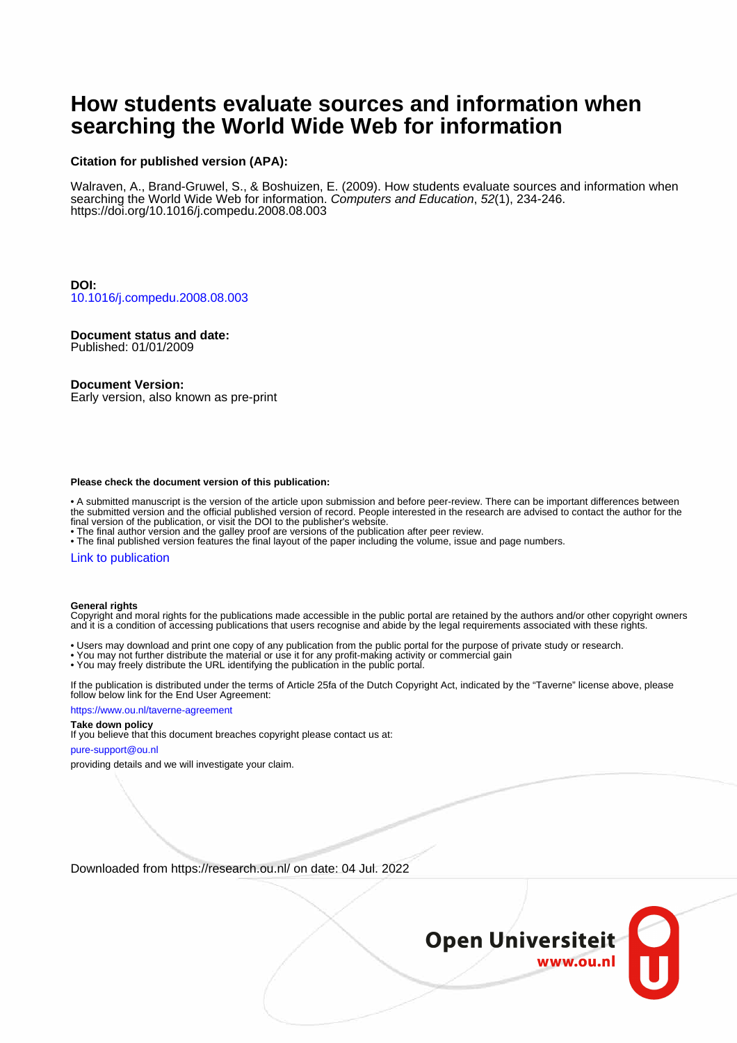# **How students evaluate sources and information when searching the World Wide Web for information**

#### **Citation for published version (APA):**

Walraven, A., Brand-Gruwel, S., & Boshuizen, E. (2009). How students evaluate sources and information when searching the World Wide Web for information. Computers and Education, 52(1), 234-246. <https://doi.org/10.1016/j.compedu.2008.08.003>

**DOI:** [10.1016/j.compedu.2008.08.003](https://doi.org/10.1016/j.compedu.2008.08.003)

#### **Document status and date:**

Published: 01/01/2009

#### **Document Version:**

Early version, also known as pre-print

#### **Please check the document version of this publication:**

• A submitted manuscript is the version of the article upon submission and before peer-review. There can be important differences between the submitted version and the official published version of record. People interested in the research are advised to contact the author for the final version of the publication, or visit the DOI to the publisher's website.

• The final author version and the galley proof are versions of the publication after peer review.

• The final published version features the final layout of the paper including the volume, issue and page numbers.

#### [Link to publication](https://research.ou.nl/en/publications/f8c5f3c4-73ce-4830-b7ae-26d7a103f1d0)

#### **General rights**

Copyright and moral rights for the publications made accessible in the public portal are retained by the authors and/or other copyright owners and it is a condition of accessing publications that users recognise and abide by the legal requirements associated with these rights.

- Users may download and print one copy of any publication from the public portal for the purpose of private study or research.
- You may not further distribute the material or use it for any profit-making activity or commercial gain
- You may freely distribute the URL identifying the publication in the public portal.

If the publication is distributed under the terms of Article 25fa of the Dutch Copyright Act, indicated by the "Taverne" license above, please follow below link for the End User Agreement:

#### https://www.ou.nl/taverne-agreement

#### **Take down policy**

If you believe that this document breaches copyright please contact us at:

#### pure-support@ou.nl

providing details and we will investigate your claim.

Downloaded from https://research.ou.nl/ on date: 04 Jul. 2022

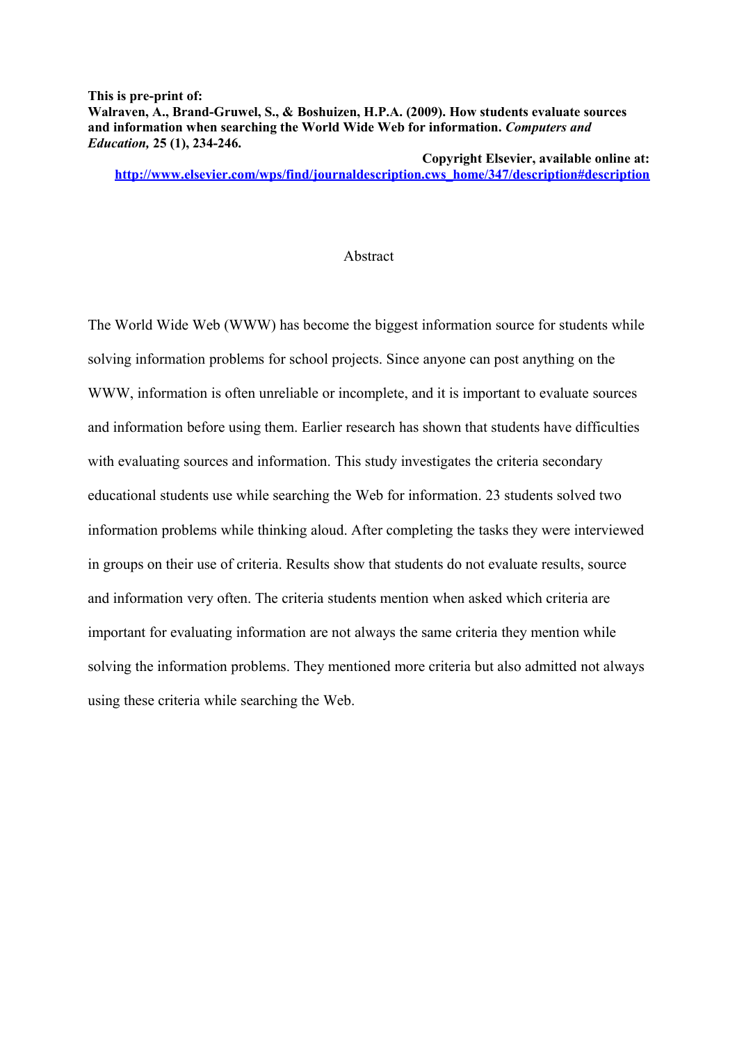**This is pre-print of: Walraven, A., Brand-Gruwel, S., & Boshuizen, H.P.A. (2009). How students evaluate sources and information when searching the World Wide Web for information.** *Computers and Education,* **25 (1), 234-246.**

**Copyright Elsevier, available online at: [http://www.elsevier.com/wps/find/journaldescription.cws\\_home/347/description#description](http://www.elsevier.com/wps/find/journaldescription.cws_home/347/description#description)**

#### Abstract

The World Wide Web (WWW) has become the biggest information source for students while solving information problems for school projects. Since anyone can post anything on the WWW, information is often unreliable or incomplete, and it is important to evaluate sources and information before using them. Earlier research has shown that students have difficulties with evaluating sources and information. This study investigates the criteria secondary educational students use while searching the Web for information. 23 students solved two information problems while thinking aloud. After completing the tasks they were interviewed in groups on their use of criteria. Results show that students do not evaluate results, source and information very often. The criteria students mention when asked which criteria are important for evaluating information are not always the same criteria they mention while solving the information problems. They mentioned more criteria but also admitted not always using these criteria while searching the Web.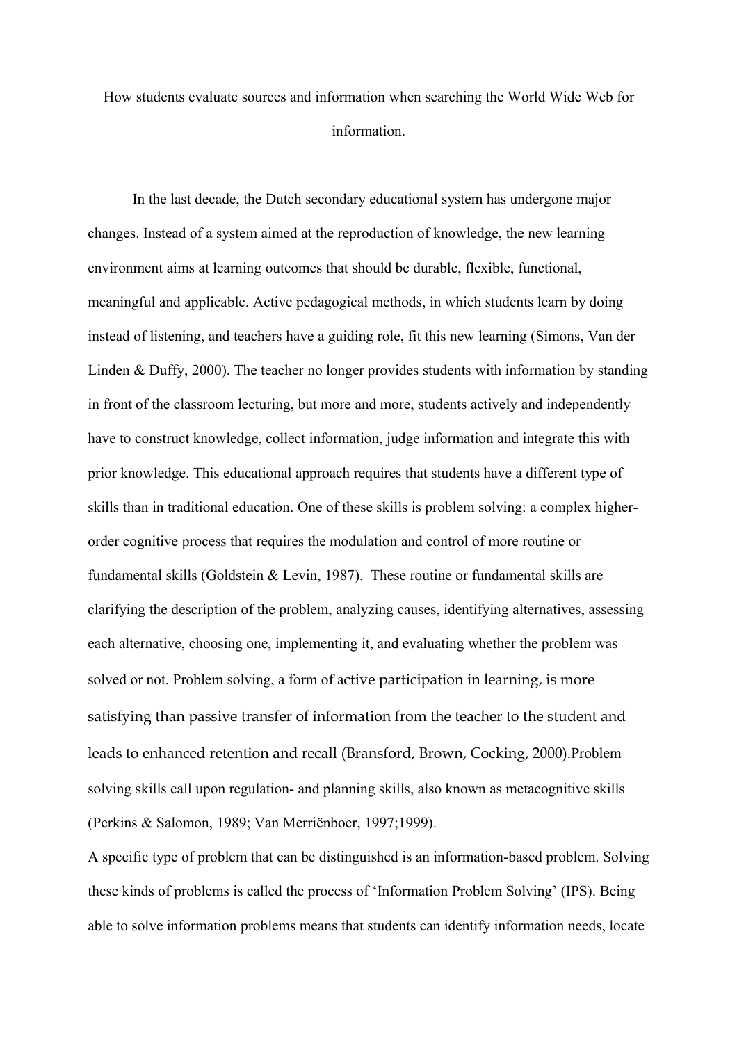How students evaluate sources and information when searching the World Wide Web for information.

In the last decade, the Dutch secondary educational system has undergone major changes. Instead of a system aimed at the reproduction of knowledge, the new learning environment aims at learning outcomes that should be durable, flexible, functional, meaningful and applicable. Active pedagogical methods, in which students learn by doing instead of listening, and teachers have a guiding role, fit this new learning (Simons, Van der Linden & Duffy, 2000). The teacher no longer provides students with information by standing in front of the classroom lecturing, but more and more, students actively and independently have to construct knowledge, collect information, judge information and integrate this with prior knowledge. This educational approach requires that students have a different type of skills than in traditional education. One of these skills is problem solving: a complex higherorder cognitive process that requires the modulation and control of more routine or fundamental skills (Goldstein & Levin, 1987). These routine or fundamental skills are clarifying the description of the problem, analyzing causes, identifying alternatives, assessing each alternative, choosing one, implementing it, and evaluating whether the problem was solved or not. Problem solving, a form of active participation in learning, is more satisfying than passive transfer of information from the teacher to the student and leads to enhanced retention and recall (Bransford, Brown, Cocking, 2000).Problem solving skills call upon regulation- and planning skills, also known as metacognitive skills (Perkins & Salomon, 1989; Van Merriënboer, 1997;1999).

A specific type of problem that can be distinguished is an information-based problem. Solving these kinds of problems is called the process of 'Information Problem Solving' (IPS). Being able to solve information problems means that students can identify information needs, locate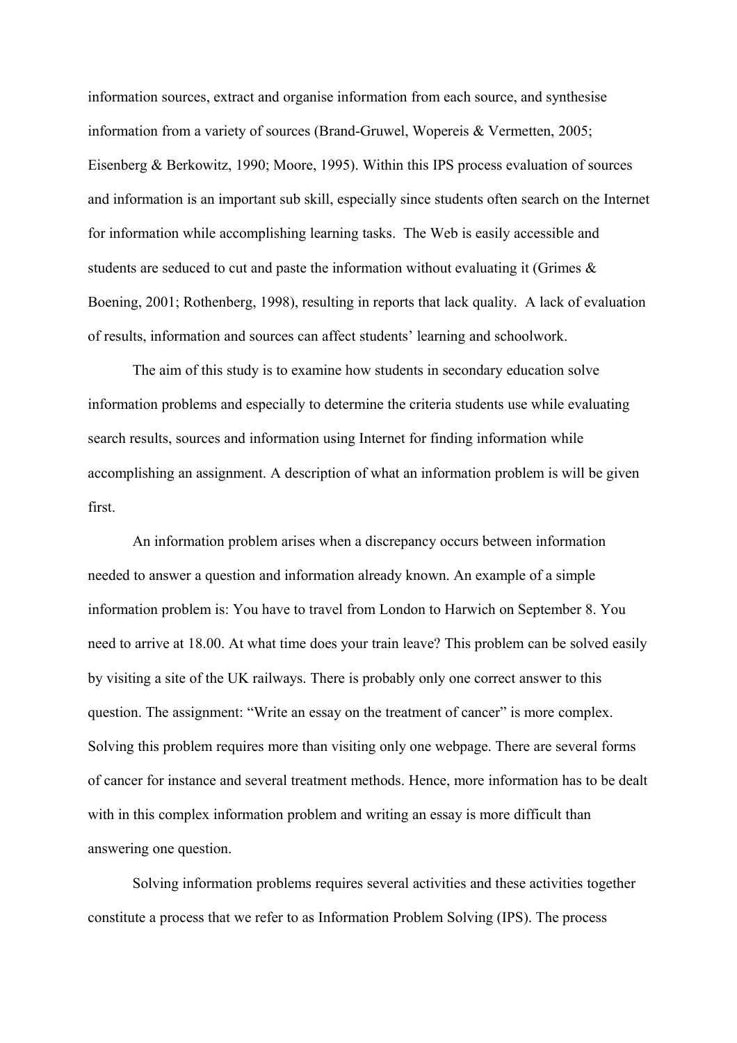information sources, extract and organise information from each source, and synthesise information from a variety of sources (Brand-Gruwel, Wopereis & Vermetten, 2005; Eisenberg & Berkowitz, 1990; Moore, 1995). Within this IPS process evaluation of sources and information is an important sub skill, especially since students often search on the Internet for information while accomplishing learning tasks. The Web is easily accessible and students are seduced to cut and paste the information without evaluating it (Grimes & Boening, 2001; Rothenberg, 1998), resulting in reports that lack quality. A lack of evaluation of results, information and sources can affect students' learning and schoolwork.

The aim of this study is to examine how students in secondary education solve information problems and especially to determine the criteria students use while evaluating search results, sources and information using Internet for finding information while accomplishing an assignment. A description of what an information problem is will be given first.

An information problem arises when a discrepancy occurs between information needed to answer a question and information already known. An example of a simple information problem is: You have to travel from London to Harwich on September 8. You need to arrive at 18.00. At what time does your train leave? This problem can be solved easily by visiting a site of the UK railways. There is probably only one correct answer to this question. The assignment: "Write an essay on the treatment of cancer" is more complex. Solving this problem requires more than visiting only one webpage. There are several forms of cancer for instance and several treatment methods. Hence, more information has to be dealt with in this complex information problem and writing an essay is more difficult than answering one question.

Solving information problems requires several activities and these activities together constitute a process that we refer to as Information Problem Solving (IPS). The process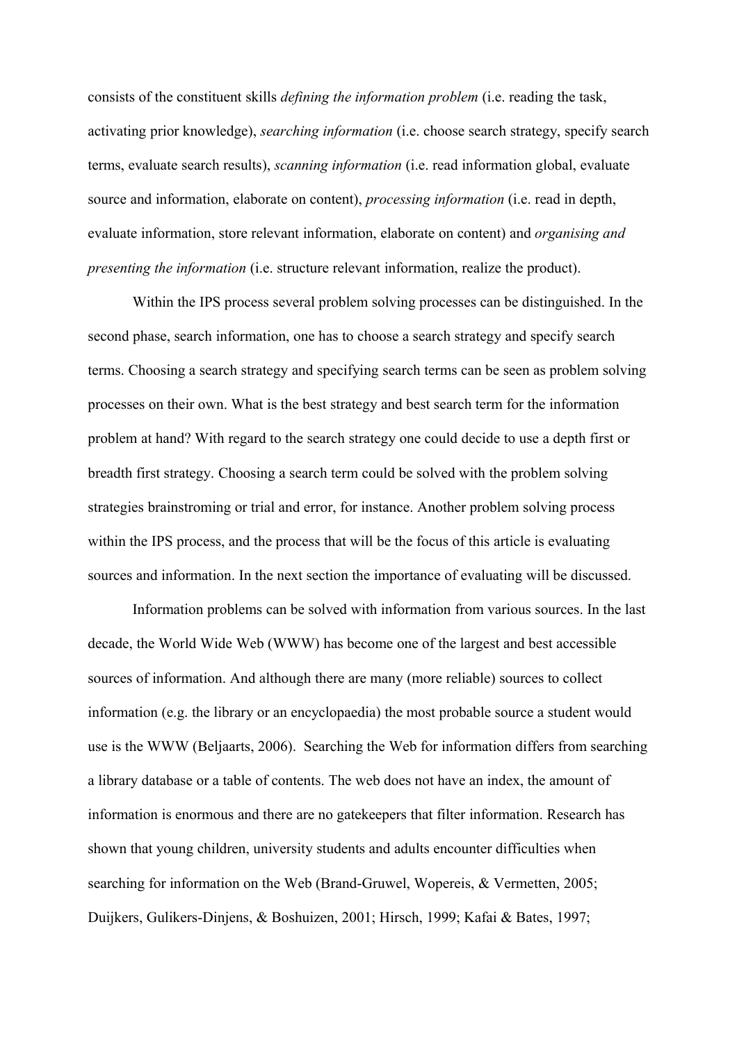consists of the constituent skills *defining the information problem* (i.e. reading the task, activating prior knowledge), *searching information* (i.e. choose search strategy, specify search terms, evaluate search results), *scanning information* (i.e. read information global, evaluate source and information, elaborate on content), *processing information* (i.e. read in depth, evaluate information, store relevant information, elaborate on content) and *organising and presenting the information* (i.e. structure relevant information, realize the product).

Within the IPS process several problem solving processes can be distinguished. In the second phase, search information, one has to choose a search strategy and specify search terms. Choosing a search strategy and specifying search terms can be seen as problem solving processes on their own. What is the best strategy and best search term for the information problem at hand? With regard to the search strategy one could decide to use a depth first or breadth first strategy. Choosing a search term could be solved with the problem solving strategies brainstroming or trial and error, for instance. Another problem solving process within the IPS process, and the process that will be the focus of this article is evaluating sources and information. In the next section the importance of evaluating will be discussed.

Information problems can be solved with information from various sources. In the last decade, the World Wide Web (WWW) has become one of the largest and best accessible sources of information. And although there are many (more reliable) sources to collect information (e.g. the library or an encyclopaedia) the most probable source a student would use is the WWW (Beljaarts, 2006). Searching the Web for information differs from searching a library database or a table of contents. The web does not have an index, the amount of information is enormous and there are no gatekeepers that filter information. Research has shown that young children, university students and adults encounter difficulties when searching for information on the Web (Brand-Gruwel, Wopereis, & Vermetten, 2005; Duijkers, Gulikers-Dinjens, & Boshuizen, 2001; Hirsch, 1999; Kafai & Bates, 1997;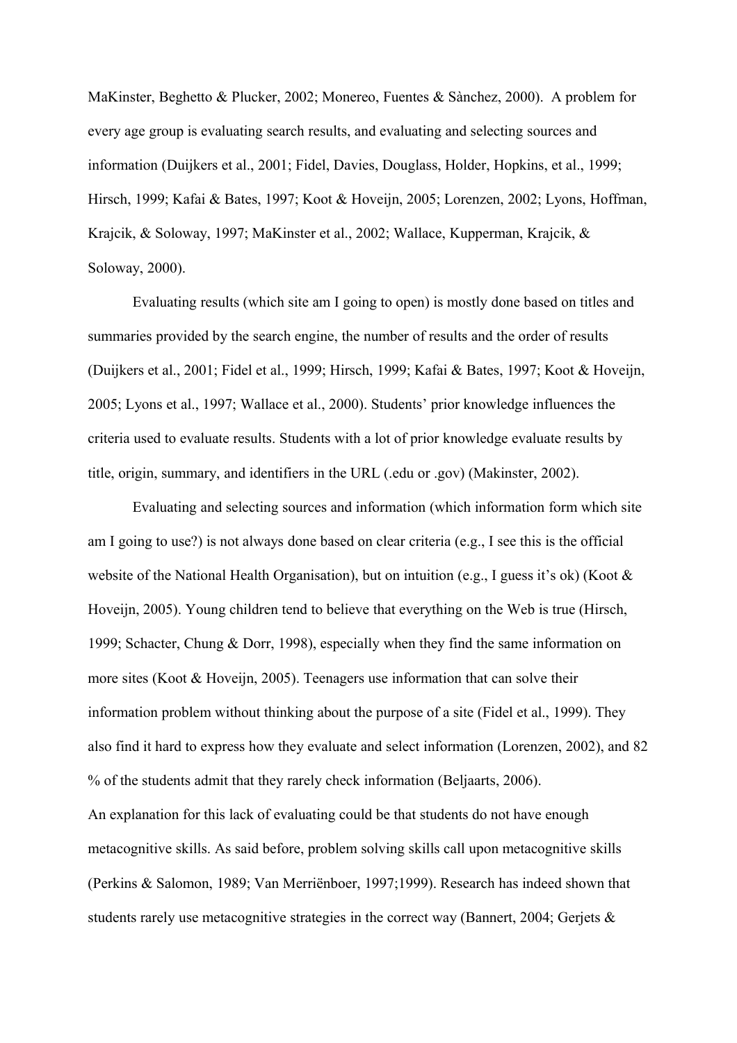MaKinster, Beghetto & Plucker, 2002; Monereo, Fuentes & Sànchez, 2000). A problem for every age group is evaluating search results, and evaluating and selecting sources and information (Duijkers et al., 2001; Fidel, Davies, Douglass, Holder, Hopkins, et al., 1999; Hirsch, 1999; Kafai & Bates, 1997; Koot & Hoveijn, 2005; Lorenzen, 2002; Lyons, Hoffman, Krajcik, & Soloway, 1997; MaKinster et al., 2002; Wallace, Kupperman, Krajcik, & Soloway, 2000).

Evaluating results (which site am I going to open) is mostly done based on titles and summaries provided by the search engine, the number of results and the order of results (Duijkers et al., 2001; Fidel et al., 1999; Hirsch, 1999; Kafai & Bates, 1997; Koot & Hoveijn, 2005; Lyons et al., 1997; Wallace et al., 2000). Students' prior knowledge influences the criteria used to evaluate results. Students with a lot of prior knowledge evaluate results by title, origin, summary, and identifiers in the URL (.edu or .gov) (Makinster, 2002).

Evaluating and selecting sources and information (which information form which site am I going to use?) is not always done based on clear criteria (e.g., I see this is the official website of the National Health Organisation), but on intuition (e.g., I guess it's ok) (Koot & Hoveijn, 2005). Young children tend to believe that everything on the Web is true (Hirsch, 1999; Schacter, Chung & Dorr, 1998), especially when they find the same information on more sites (Koot & Hoveijn, 2005). Teenagers use information that can solve their information problem without thinking about the purpose of a site (Fidel et al., 1999). They also find it hard to express how they evaluate and select information (Lorenzen, 2002), and 82 % of the students admit that they rarely check information (Beljaarts, 2006). An explanation for this lack of evaluating could be that students do not have enough metacognitive skills. As said before, problem solving skills call upon metacognitive skills (Perkins & Salomon, 1989; Van Merriënboer, 1997;1999). Research has indeed shown that

students rarely use metacognitive strategies in the correct way (Bannert, 2004; Gerjets &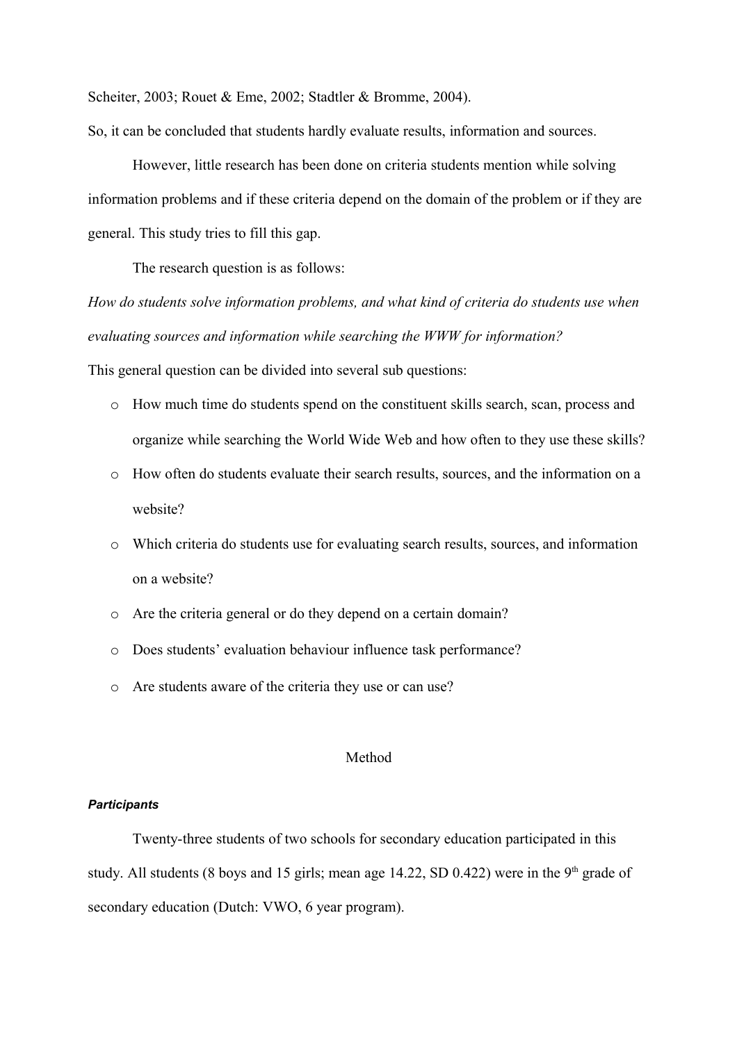Scheiter, 2003; Rouet & Eme, 2002; Stadtler & Bromme, 2004).

So, it can be concluded that students hardly evaluate results, information and sources.

However, little research has been done on criteria students mention while solving information problems and if these criteria depend on the domain of the problem or if they are general. This study tries to fill this gap.

The research question is as follows:

*How do students solve information problems, and what kind of criteria do students use when evaluating sources and information while searching the WWW for information?*

This general question can be divided into several sub questions:

- o How much time do students spend on the constituent skills search, scan, process and organize while searching the World Wide Web and how often to they use these skills?
- o How often do students evaluate their search results, sources, and the information on a website?
- o Which criteria do students use for evaluating search results, sources, and information on a website?
- o Are the criteria general or do they depend on a certain domain?
- o Does students' evaluation behaviour influence task performance?
- o Are students aware of the criteria they use or can use?

### Method

#### *Participants*

Twenty-three students of two schools for secondary education participated in this study. All students (8 boys and 15 girls; mean age  $14.22$ , SD  $0.422$ ) were in the 9<sup>th</sup> grade of secondary education (Dutch: VWO, 6 year program).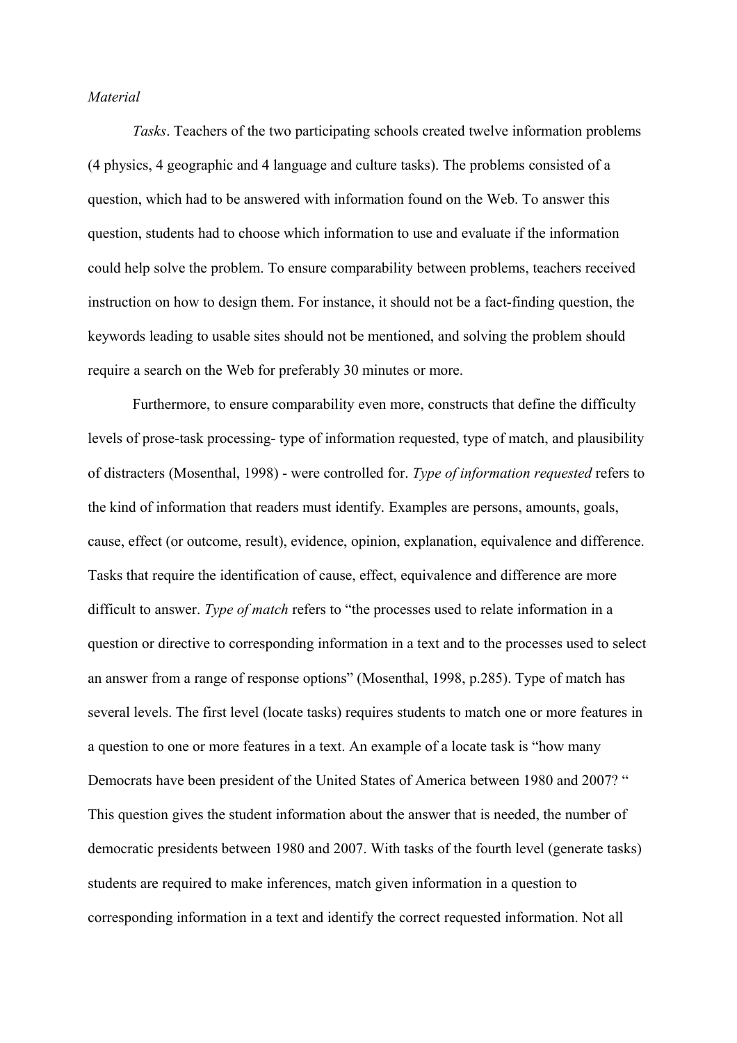#### *Material*

*Tasks*. Teachers of the two participating schools created twelve information problems (4 physics, 4 geographic and 4 language and culture tasks). The problems consisted of a question, which had to be answered with information found on the Web. To answer this question, students had to choose which information to use and evaluate if the information could help solve the problem. To ensure comparability between problems, teachers received instruction on how to design them. For instance, it should not be a fact-finding question, the keywords leading to usable sites should not be mentioned, and solving the problem should require a search on the Web for preferably 30 minutes or more.

Furthermore, to ensure comparability even more, constructs that define the difficulty levels of prose-task processing- type of information requested, type of match, and plausibility of distracters (Mosenthal, 1998) - were controlled for. *Type of information requested* refers to the kind of information that readers must identify. Examples are persons, amounts, goals, cause, effect (or outcome, result), evidence, opinion, explanation, equivalence and difference. Tasks that require the identification of cause, effect, equivalence and difference are more difficult to answer. *Type of match* refers to "the processes used to relate information in a question or directive to corresponding information in a text and to the processes used to select an answer from a range of response options" (Mosenthal, 1998, p.285). Type of match has several levels. The first level (locate tasks) requires students to match one or more features in a question to one or more features in a text. An example of a locate task is "how many Democrats have been president of the United States of America between 1980 and 2007? " This question gives the student information about the answer that is needed, the number of democratic presidents between 1980 and 2007. With tasks of the fourth level (generate tasks) students are required to make inferences, match given information in a question to corresponding information in a text and identify the correct requested information. Not all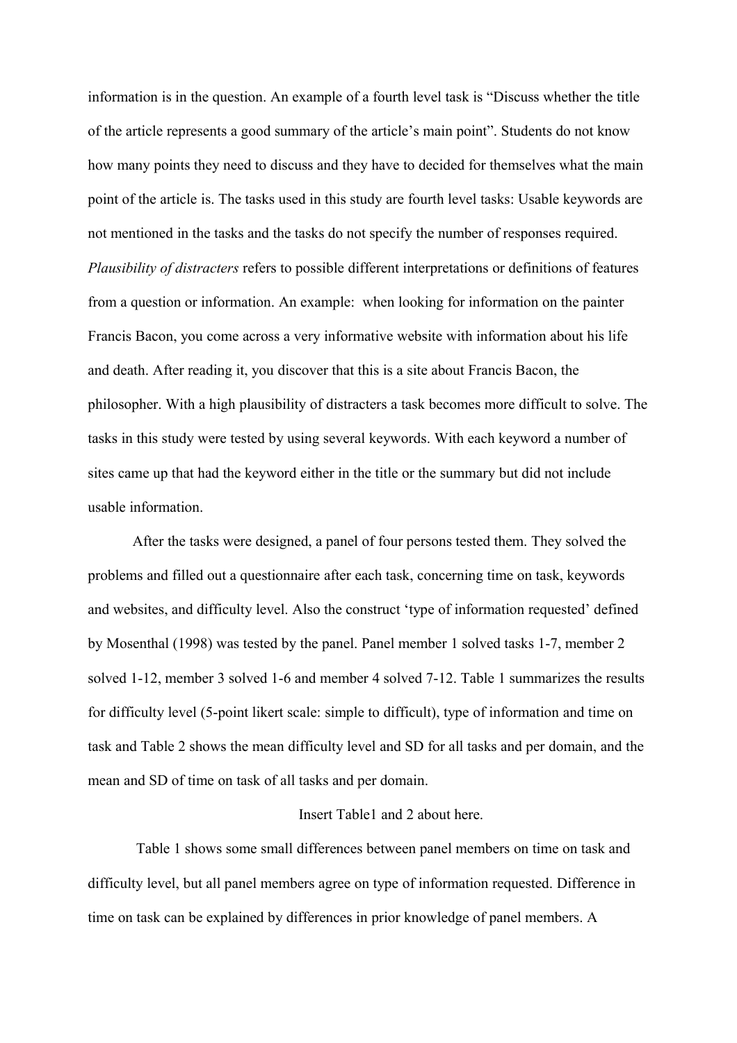information is in the question. An example of a fourth level task is "Discuss whether the title of the article represents a good summary of the article's main point". Students do not know how many points they need to discuss and they have to decided for themselves what the main point of the article is. The tasks used in this study are fourth level tasks: Usable keywords are not mentioned in the tasks and the tasks do not specify the number of responses required. *Plausibility of distracters* refers to possible different interpretations or definitions of features from a question or information. An example: when looking for information on the painter Francis Bacon, you come across a very informative website with information about his life and death. After reading it, you discover that this is a site about Francis Bacon, the philosopher. With a high plausibility of distracters a task becomes more difficult to solve. The tasks in this study were tested by using several keywords. With each keyword a number of sites came up that had the keyword either in the title or the summary but did not include usable information.

After the tasks were designed, a panel of four persons tested them. They solved the problems and filled out a questionnaire after each task, concerning time on task, keywords and websites, and difficulty level. Also the construct 'type of information requested' defined by Mosenthal (1998) was tested by the panel. Panel member 1 solved tasks 1-7, member 2 solved 1-12, member 3 solved 1-6 and member 4 solved 7-12. Table 1 summarizes the results for difficulty level (5-point likert scale: simple to difficult), type of information and time on task and Table 2 shows the mean difficulty level and SD for all tasks and per domain, and the mean and SD of time on task of all tasks and per domain.

### Insert Table1 and 2 about here.

 Table 1 shows some small differences between panel members on time on task and difficulty level, but all panel members agree on type of information requested. Difference in time on task can be explained by differences in prior knowledge of panel members. A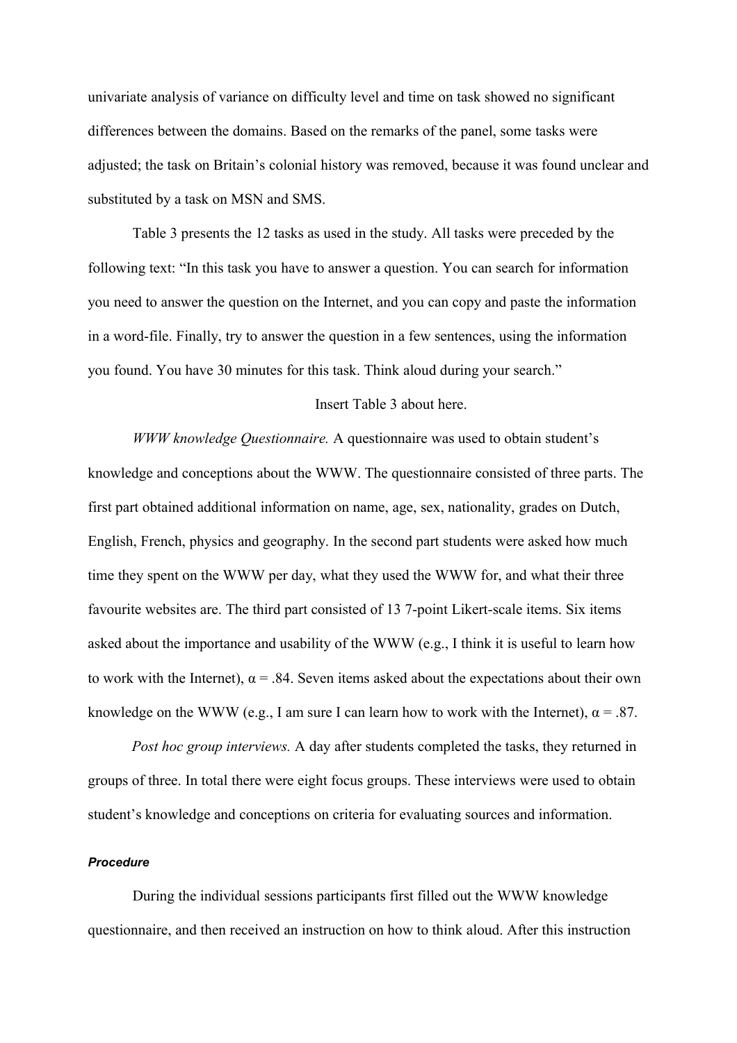univariate analysis of variance on difficulty level and time on task showed no significant differences between the domains. Based on the remarks of the panel, some tasks were adjusted; the task on Britain's colonial history was removed, because it was found unclear and substituted by a task on MSN and SMS.

Table 3 presents the 12 tasks as used in the study. All tasks were preceded by the following text: "In this task you have to answer a question. You can search for information you need to answer the question on the Internet, and you can copy and paste the information in a word-file. Finally, try to answer the question in a few sentences, using the information you found. You have 30 minutes for this task. Think aloud during your search."

### Insert Table 3 about here.

*WWW knowledge Questionnaire.* A questionnaire was used to obtain student's knowledge and conceptions about the WWW. The questionnaire consisted of three parts. The first part obtained additional information on name, age, sex, nationality, grades on Dutch, English, French, physics and geography. In the second part students were asked how much time they spent on the WWW per day, what they used the WWW for, and what their three favourite websites are. The third part consisted of 13 7-point Likert-scale items. Six items asked about the importance and usability of the WWW (e.g., I think it is useful to learn how to work with the Internet),  $\alpha$  = .84. Seven items asked about the expectations about their own knowledge on the WWW (e.g., I am sure I can learn how to work with the Internet),  $\alpha = .87$ .

*Post hoc group interviews.* A day after students completed the tasks, they returned in groups of three. In total there were eight focus groups. These interviews were used to obtain student's knowledge and conceptions on criteria for evaluating sources and information.

#### *Procedure*

During the individual sessions participants first filled out the WWW knowledge questionnaire, and then received an instruction on how to think aloud. After this instruction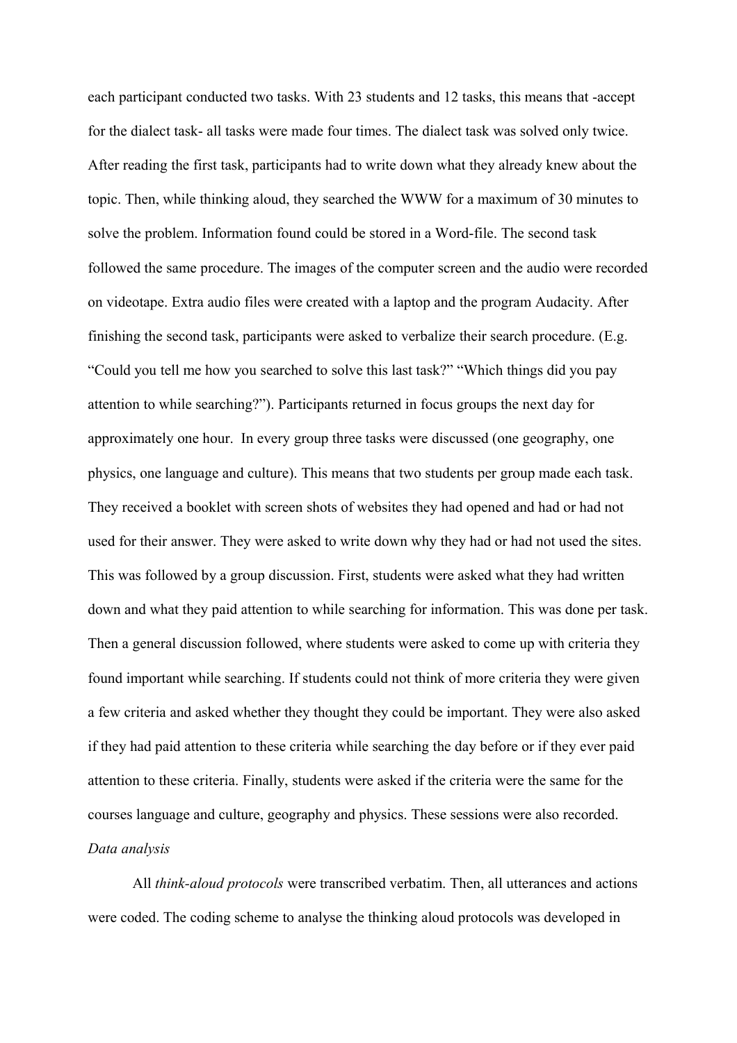each participant conducted two tasks. With 23 students and 12 tasks, this means that -accept for the dialect task- all tasks were made four times. The dialect task was solved only twice. After reading the first task, participants had to write down what they already knew about the topic. Then, while thinking aloud, they searched the WWW for a maximum of 30 minutes to solve the problem. Information found could be stored in a Word-file. The second task followed the same procedure. The images of the computer screen and the audio were recorded on videotape. Extra audio files were created with a laptop and the program Audacity. After finishing the second task, participants were asked to verbalize their search procedure. (E.g. "Could you tell me how you searched to solve this last task?" "Which things did you pay attention to while searching?"). Participants returned in focus groups the next day for approximately one hour. In every group three tasks were discussed (one geography, one physics, one language and culture). This means that two students per group made each task. They received a booklet with screen shots of websites they had opened and had or had not used for their answer. They were asked to write down why they had or had not used the sites. This was followed by a group discussion. First, students were asked what they had written down and what they paid attention to while searching for information. This was done per task. Then a general discussion followed, where students were asked to come up with criteria they found important while searching. If students could not think of more criteria they were given a few criteria and asked whether they thought they could be important. They were also asked if they had paid attention to these criteria while searching the day before or if they ever paid attention to these criteria. Finally, students were asked if the criteria were the same for the courses language and culture, geography and physics. These sessions were also recorded. *Data analysis*

All *think-aloud protocols* were transcribed verbatim. Then, all utterances and actions were coded. The coding scheme to analyse the thinking aloud protocols was developed in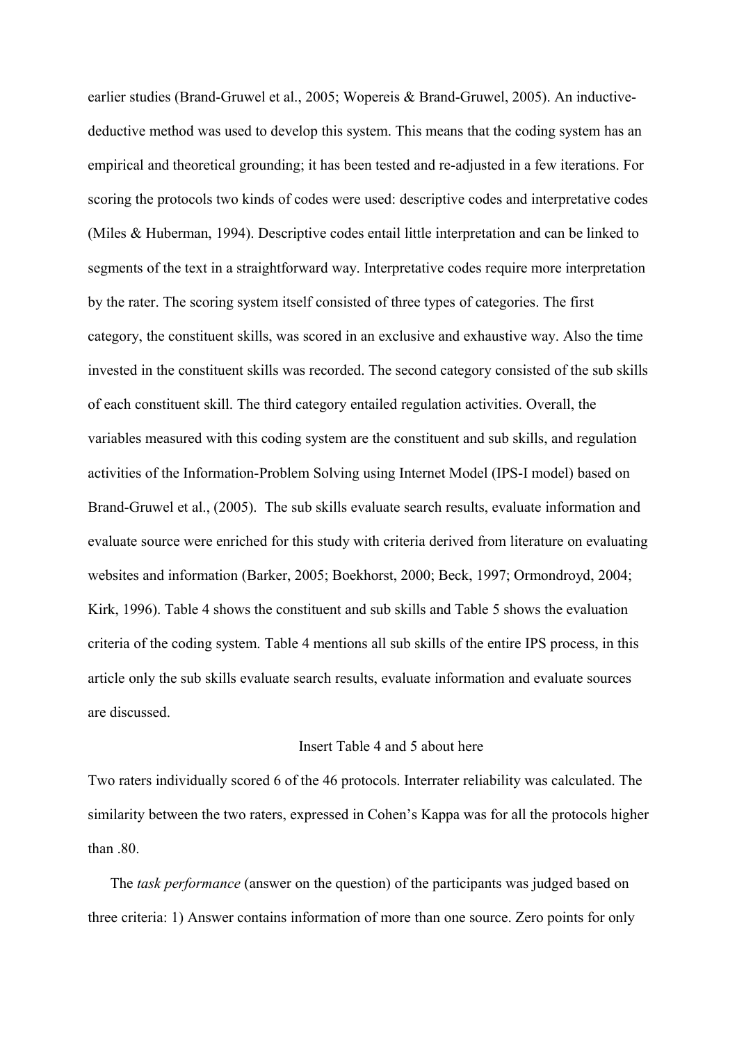earlier studies (Brand-Gruwel et al., 2005; Wopereis & Brand-Gruwel, 2005). An inductivedeductive method was used to develop this system. This means that the coding system has an empirical and theoretical grounding; it has been tested and re-adjusted in a few iterations. For scoring the protocols two kinds of codes were used: descriptive codes and interpretative codes (Miles & Huberman, 1994). Descriptive codes entail little interpretation and can be linked to segments of the text in a straightforward way. Interpretative codes require more interpretation by the rater. The scoring system itself consisted of three types of categories. The first category, the constituent skills, was scored in an exclusive and exhaustive way. Also the time invested in the constituent skills was recorded. The second category consisted of the sub skills of each constituent skill. The third category entailed regulation activities. Overall, the variables measured with this coding system are the constituent and sub skills, and regulation activities of the Information-Problem Solving using Internet Model (IPS-I model) based on Brand-Gruwel et al., (2005). The sub skills evaluate search results, evaluate information and evaluate source were enriched for this study with criteria derived from literature on evaluating websites and information (Barker, 2005; Boekhorst, 2000; Beck, 1997; Ormondroyd, 2004; Kirk, 1996). Table 4 shows the constituent and sub skills and Table 5 shows the evaluation criteria of the coding system. Table 4 mentions all sub skills of the entire IPS process, in this article only the sub skills evaluate search results, evaluate information and evaluate sources are discussed.

#### Insert Table 4 and 5 about here

Two raters individually scored 6 of the 46 protocols. Interrater reliability was calculated. The similarity between the two raters, expressed in Cohen's Kappa was for all the protocols higher  $than 80.$ 

The *task performance* (answer on the question) of the participants was judged based on three criteria: 1) Answer contains information of more than one source. Zero points for only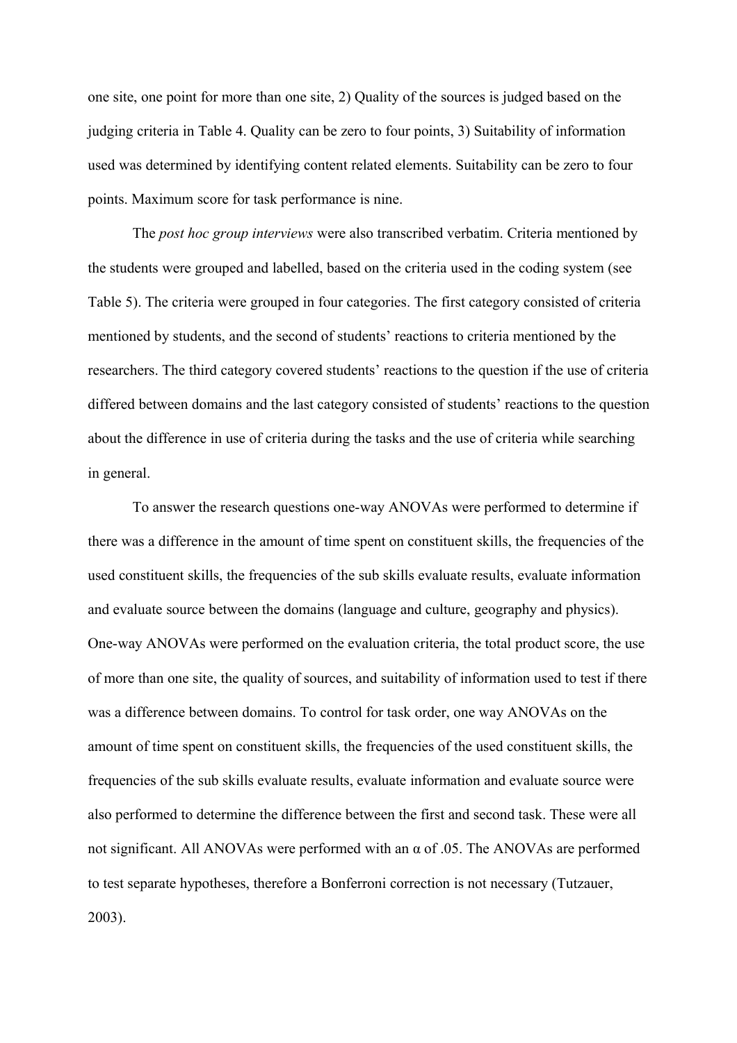one site, one point for more than one site, 2) Quality of the sources is judged based on the judging criteria in Table 4. Quality can be zero to four points, 3) Suitability of information used was determined by identifying content related elements. Suitability can be zero to four points. Maximum score for task performance is nine.

The *post hoc group interviews* were also transcribed verbatim. Criteria mentioned by the students were grouped and labelled, based on the criteria used in the coding system (see Table 5). The criteria were grouped in four categories. The first category consisted of criteria mentioned by students, and the second of students' reactions to criteria mentioned by the researchers. The third category covered students' reactions to the question if the use of criteria differed between domains and the last category consisted of students' reactions to the question about the difference in use of criteria during the tasks and the use of criteria while searching in general.

To answer the research questions one-way ANOVAs were performed to determine if there was a difference in the amount of time spent on constituent skills, the frequencies of the used constituent skills, the frequencies of the sub skills evaluate results, evaluate information and evaluate source between the domains (language and culture, geography and physics). One-way ANOVAs were performed on the evaluation criteria, the total product score, the use of more than one site, the quality of sources, and suitability of information used to test if there was a difference between domains. To control for task order, one way ANOVAs on the amount of time spent on constituent skills, the frequencies of the used constituent skills, the frequencies of the sub skills evaluate results, evaluate information and evaluate source were also performed to determine the difference between the first and second task. These were all not significant. All ANOVAs were performed with an α of .05. The ANOVAs are performed to test separate hypotheses, therefore a Bonferroni correction is not necessary (Tutzauer, 2003).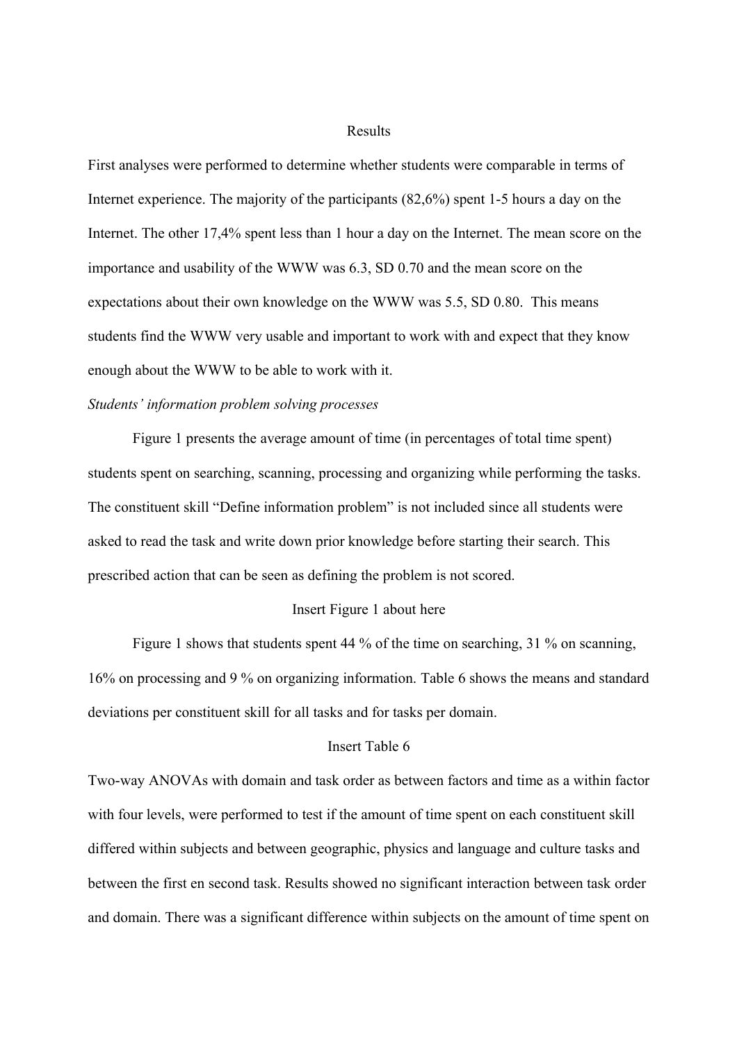#### Results

First analyses were performed to determine whether students were comparable in terms of Internet experience. The majority of the participants (82,6%) spent 1-5 hours a day on the Internet. The other 17,4% spent less than 1 hour a day on the Internet. The mean score on the importance and usability of the WWW was 6.3, SD 0.70 and the mean score on the expectations about their own knowledge on the WWW was 5.5, SD 0.80. This means students find the WWW very usable and important to work with and expect that they know enough about the WWW to be able to work with it.

### *Students' information problem solving processes*

Figure 1 presents the average amount of time (in percentages of total time spent) students spent on searching, scanning, processing and organizing while performing the tasks. The constituent skill "Define information problem" is not included since all students were asked to read the task and write down prior knowledge before starting their search. This prescribed action that can be seen as defining the problem is not scored.

## Insert Figure 1 about here

Figure 1 shows that students spent 44 % of the time on searching, 31 % on scanning, 16% on processing and 9 % on organizing information. Table 6 shows the means and standard deviations per constituent skill for all tasks and for tasks per domain.

### Insert Table 6

Two-way ANOVAs with domain and task order as between factors and time as a within factor with four levels, were performed to test if the amount of time spent on each constituent skill differed within subjects and between geographic, physics and language and culture tasks and between the first en second task. Results showed no significant interaction between task order and domain. There was a significant difference within subjects on the amount of time spent on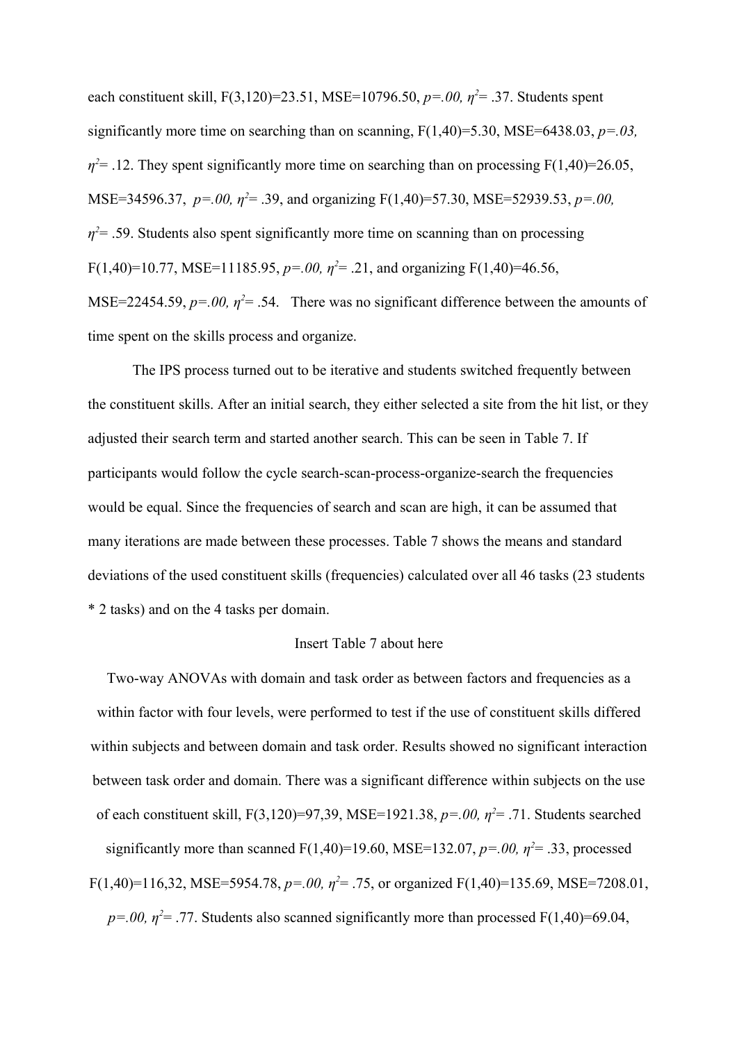each constituent skill,  $F(3,120)=23.51$ ,  $MSE=10796.50$ ,  $p=.00$ ,  $\eta^2=.37$ . Students spent significantly more time on searching than on scanning,  $F(1.40)=5.30$ ,  $MSE=6438.03$ ,  $p=.03$ .  $\eta^2$  = .12. They spent significantly more time on searching than on processing F(1,40)=26.05, MSE=34596.37, *p=.00, η <sup>2</sup>*= .39, and organizing F(1,40)=57.30, MSE=52939.53, *p=.00,*  $\eta$ <sup>2</sup> = .59. Students also spent significantly more time on scanning than on processing  $F(1,40)=10.77$ , MSE=11185.95,  $p=.00$ ,  $\eta^2=.21$ , and organizing  $F(1,40)=46.56$ , MSE=22454.59,  $p = 0.00$ ,  $\eta^2 = 0.54$ . There was no significant difference between the amounts of time spent on the skills process and organize.

The IPS process turned out to be iterative and students switched frequently between the constituent skills. After an initial search, they either selected a site from the hit list, or they adjusted their search term and started another search. This can be seen in Table 7. If participants would follow the cycle search-scan-process-organize-search the frequencies would be equal. Since the frequencies of search and scan are high, it can be assumed that many iterations are made between these processes. Table 7 shows the means and standard deviations of the used constituent skills (frequencies) calculated over all 46 tasks (23 students \* 2 tasks) and on the 4 tasks per domain.

### Insert Table 7 about here

Two-way ANOVAs with domain and task order as between factors and frequencies as a within factor with four levels, were performed to test if the use of constituent skills differed within subjects and between domain and task order. Results showed no significant interaction between task order and domain. There was a significant difference within subjects on the use of each constituent skill, F(3,120)=97,39, MSE=1921.38, *p=.00, η <sup>2</sup>*= .71. Students searched significantly more than scanned  $F(1,40)=19.60$ ,  $MSE=132.07$ ,  $p=.00$ ,  $\eta^2=.33$ , processed  $F(1,40)=116,32$ , MSE=5954.78,  $p=.00$ ,  $\eta^2=.75$ , or organized  $F(1,40)=135.69$ , MSE=7208.01,  $p = 0.00$ ,  $\eta^2 = 0.77$ . Students also scanned significantly more than processed F(1,40)=69.04,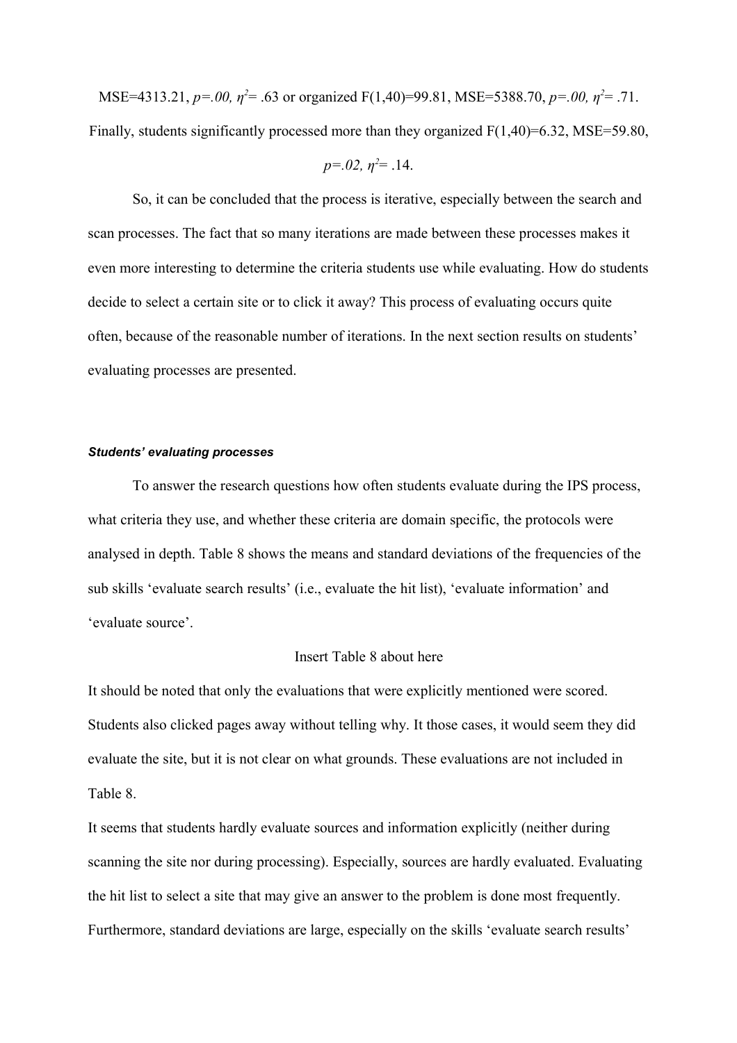MSE=4313.21, *p=.00, η <sup>2</sup>*= .63 or organized F(1,40)=99.81, MSE=5388.70, *p=.00, η <sup>2</sup>*= .71. Finally, students significantly processed more than they organized F(1,40)=6.32, MSE=59.80,

$$
p=.02, \eta^2=.14.
$$

So, it can be concluded that the process is iterative, especially between the search and scan processes. The fact that so many iterations are made between these processes makes it even more interesting to determine the criteria students use while evaluating. How do students decide to select a certain site or to click it away? This process of evaluating occurs quite often, because of the reasonable number of iterations. In the next section results on students' evaluating processes are presented.

#### *Students' evaluating processes*

To answer the research questions how often students evaluate during the IPS process, what criteria they use, and whether these criteria are domain specific, the protocols were analysed in depth. Table 8 shows the means and standard deviations of the frequencies of the sub skills 'evaluate search results' (i.e., evaluate the hit list), 'evaluate information' and 'evaluate source'.

#### Insert Table 8 about here

It should be noted that only the evaluations that were explicitly mentioned were scored. Students also clicked pages away without telling why. It those cases, it would seem they did evaluate the site, but it is not clear on what grounds. These evaluations are not included in Table 8.

It seems that students hardly evaluate sources and information explicitly (neither during scanning the site nor during processing). Especially, sources are hardly evaluated. Evaluating the hit list to select a site that may give an answer to the problem is done most frequently. Furthermore, standard deviations are large, especially on the skills 'evaluate search results'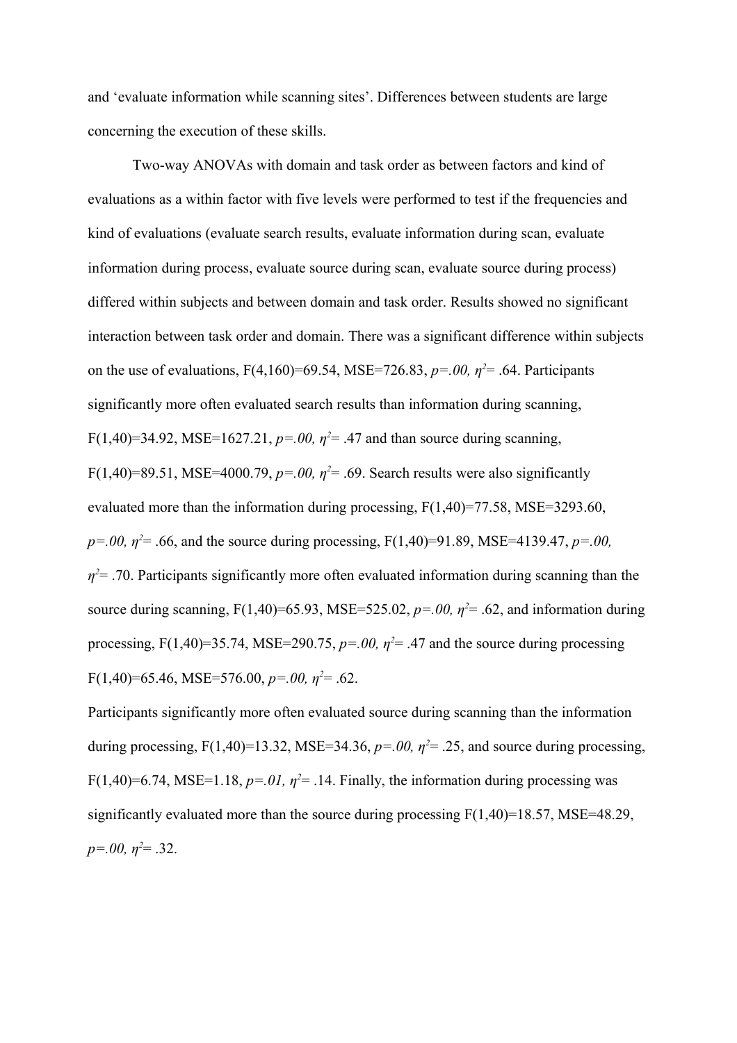and 'evaluate information while scanning sites'. Differences between students are large concerning the execution of these skills.

Two-way ANOVAs with domain and task order as between factors and kind of evaluations as a within factor with five levels were performed to test if the frequencies and kind of evaluations (evaluate search results, evaluate information during scan, evaluate information during process, evaluate source during scan, evaluate source during process) differed within subjects and between domain and task order. Results showed no significant interaction between task order and domain. There was a significant difference within subjects on the use of evaluations,  $F(4,160)=69.54$ ,  $MSE=726.83$ ,  $p=.00$ ,  $p^2=.64$ . Participants significantly more often evaluated search results than information during scanning,  $F(1,40)=34.92$ , MSE=1627.21,  $p=.00$ ,  $\eta^2=.47$  and than source during scanning, F(1,40)=89.51, MSE=4000.79,  $p = 0.0$ ,  $\eta^2 = 0.69$ . Search results were also significantly evaluated more than the information during processing, F(1,40)=77.58, MSE=3293.60, *p=.00, η <sup>2</sup>*= .66, and the source during processing, F(1,40)=91.89, MSE=4139.47, *p=.00,*  $\eta^2$  = .70. Participants significantly more often evaluated information during scanning than the source during scanning,  $F(1,40)=65.93$ ,  $MSE=525.02$ ,  $p=.00$ ,  $\eta^2=.62$ , and information during processing, F(1,40)=35.74, MSE=290.75,  $p=.00$ ,  $\eta^2=.47$  and the source during processing  $F(1,40)=65.46$ , MSE=576.00,  $p=.00$ ,  $\eta^2=.62$ .

Participants significantly more often evaluated source during scanning than the information during processing,  $F(1,40)=13.32$ ,  $MSE=34.36$ ,  $p=.00$ ,  $\eta^2=.25$ , and source during processing, F(1,40)=6.74, MSE=1.18,  $p=.01$ ,  $\eta^2=.14$ . Finally, the information during processing was significantly evaluated more than the source during processing  $F(1,40)=18.57$ , MSE=48.29,  $p=0.00, \eta^2=0.32$ .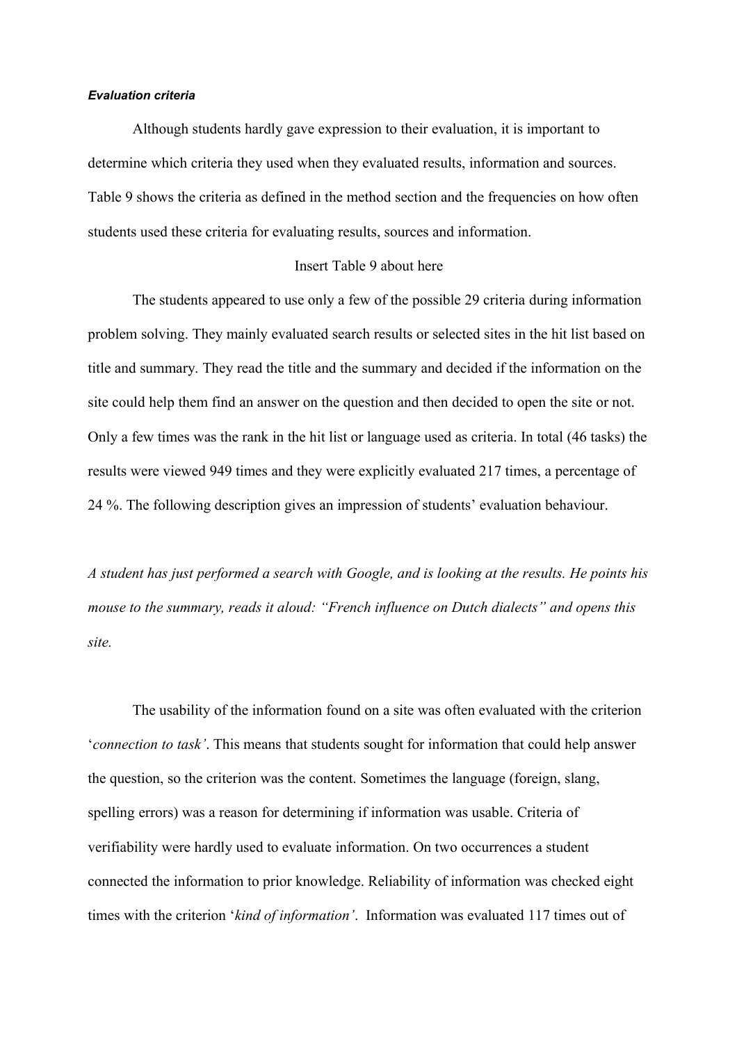#### *Evaluation criteria*

Although students hardly gave expression to their evaluation, it is important to determine which criteria they used when they evaluated results, information and sources. Table 9 shows the criteria as defined in the method section and the frequencies on how often students used these criteria for evaluating results, sources and information.

#### Insert Table 9 about here

The students appeared to use only a few of the possible 29 criteria during information problem solving. They mainly evaluated search results or selected sites in the hit list based on title and summary. They read the title and the summary and decided if the information on the site could help them find an answer on the question and then decided to open the site or not. Only a few times was the rank in the hit list or language used as criteria. In total (46 tasks) the results were viewed 949 times and they were explicitly evaluated 217 times, a percentage of 24 %. The following description gives an impression of students' evaluation behaviour.

*A student has just performed a search with Google, and is looking at the results. He points his mouse to the summary, reads it aloud: "French influence on Dutch dialects" and opens this site.*

The usability of the information found on a site was often evaluated with the criterion '*connection to task'*. This means that students sought for information that could help answer the question, so the criterion was the content. Sometimes the language (foreign, slang, spelling errors) was a reason for determining if information was usable. Criteria of verifiability were hardly used to evaluate information. On two occurrences a student connected the information to prior knowledge. Reliability of information was checked eight times with the criterion '*kind of information'*. Information was evaluated 117 times out of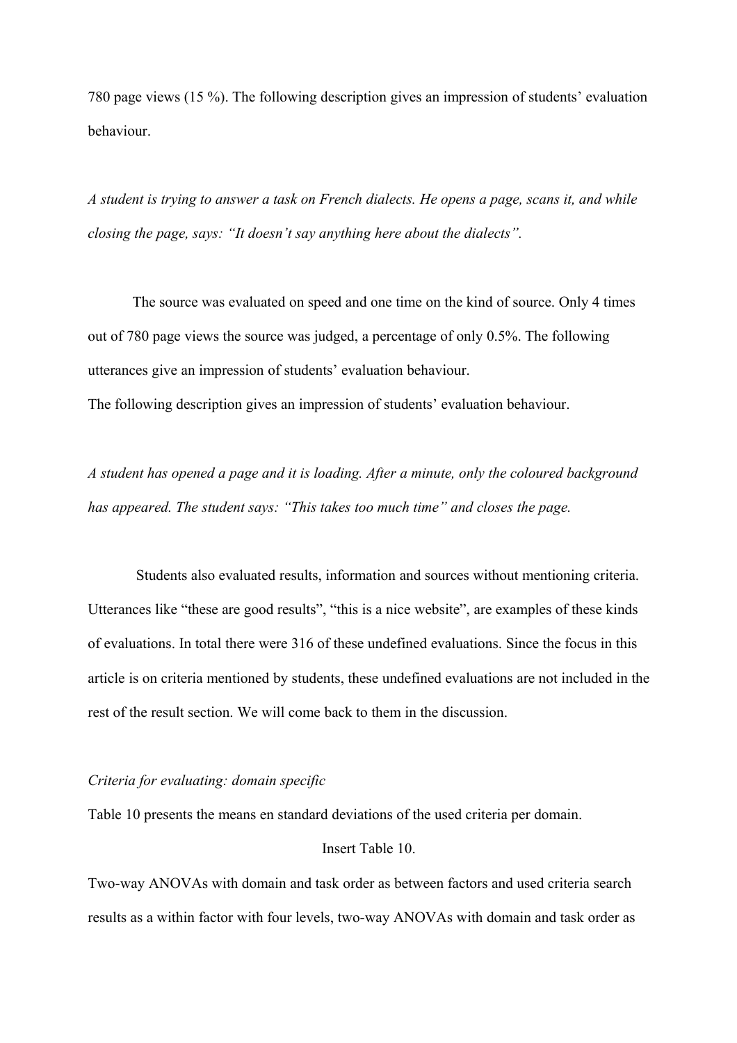780 page views (15 %). The following description gives an impression of students' evaluation behaviour.

*A student is trying to answer a task on French dialects. He opens a page, scans it, and while closing the page, says: "It doesn't say anything here about the dialects".*

The source was evaluated on speed and one time on the kind of source. Only 4 times out of 780 page views the source was judged, a percentage of only 0.5%. The following utterances give an impression of students' evaluation behaviour.

The following description gives an impression of students' evaluation behaviour.

*A student has opened a page and it is loading. After a minute, only the coloured background has appeared. The student says: "This takes too much time" and closes the page.* 

 Students also evaluated results, information and sources without mentioning criteria. Utterances like "these are good results", "this is a nice website", are examples of these kinds of evaluations. In total there were 316 of these undefined evaluations. Since the focus in this article is on criteria mentioned by students, these undefined evaluations are not included in the rest of the result section. We will come back to them in the discussion.

### *Criteria for evaluating: domain specific*

Table 10 presents the means en standard deviations of the used criteria per domain.

### Insert Table 10.

Two-way ANOVAs with domain and task order as between factors and used criteria search results as a within factor with four levels, two-way ANOVAs with domain and task order as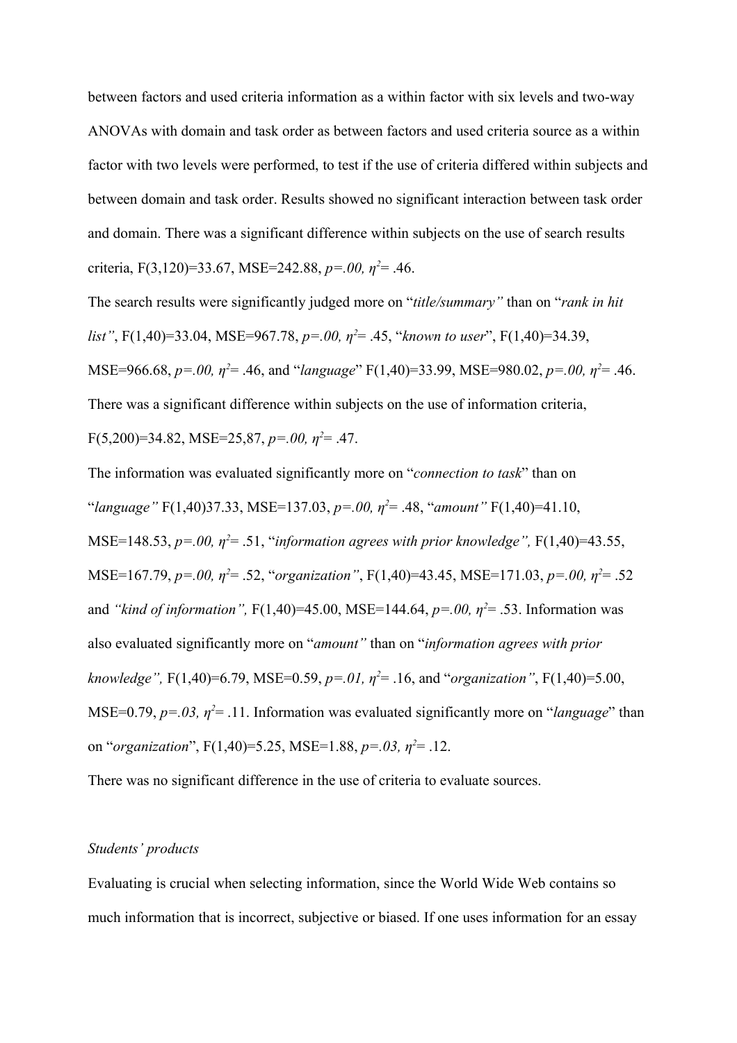between factors and used criteria information as a within factor with six levels and two-way ANOVAs with domain and task order as between factors and used criteria source as a within factor with two levels were performed, to test if the use of criteria differed within subjects and between domain and task order. Results showed no significant interaction between task order and domain. There was a significant difference within subjects on the use of search results criteria, F(3,120)=33.67, MSE=242.88, *p=.00, η <sup>2</sup>*= .46.

The search results were significantly judged more on "*title/summary"* than on "*rank in hit list"*, F(1,40)=33.04, MSE=967.78, *p=.00, η <sup>2</sup>*= .45, "*known to user*", F(1,40)=34.39, MSE=966.68, *p=.00, η <sup>2</sup>*= .46, and "*language*" F(1,40)=33.99, MSE=980.02, *p=.00, η <sup>2</sup>*= .46. There was a significant difference within subjects on the use of information criteria,  $F(5,200)=34.82$ , MSE=25,87,  $p=.00$ ,  $\eta^2=.47$ .

The information was evaluated significantly more on "*connection to task*" than on "*language"* F(1,40)37.33, MSE=137.03, *p=.00, η <sup>2</sup>*= .48, "*amount"* F(1,40)=41.10, MSE=148.53,  $p = .00$ ,  $\eta^2 = .51$ , "*information agrees with prior knowledge*",  $F(1,40) = 43.55$ , MSE=167.79, *p=.00, η <sup>2</sup>*= .52, "*organization"*, F(1,40)=43.45, MSE=171.03, *p=.00, η <sup>2</sup>*= .52 and *"kind of information"*,  $F(1,40)=45.00$ ,  $MSE=144.64$ ,  $p=.00$ ,  $\eta^2=.53$ . Information was also evaluated significantly more on "*amount"* than on "*information agrees with prior knowledge",* F(1,40)=6.79, MSE=0.59, *p=.01, η <sup>2</sup>*= .16, and "*organization"*, F(1,40)=5.00,  $MSE=0.79, p=.03, \eta^2=.11$ . Information was evaluated significantly more on "*language*" than on "*organization*", F(1,40)=5.25, MSE=1.88, *p=.03, η <sup>2</sup>*= .12.

There was no significant difference in the use of criteria to evaluate sources.

#### *Students' products*

Evaluating is crucial when selecting information, since the World Wide Web contains so much information that is incorrect, subjective or biased. If one uses information for an essay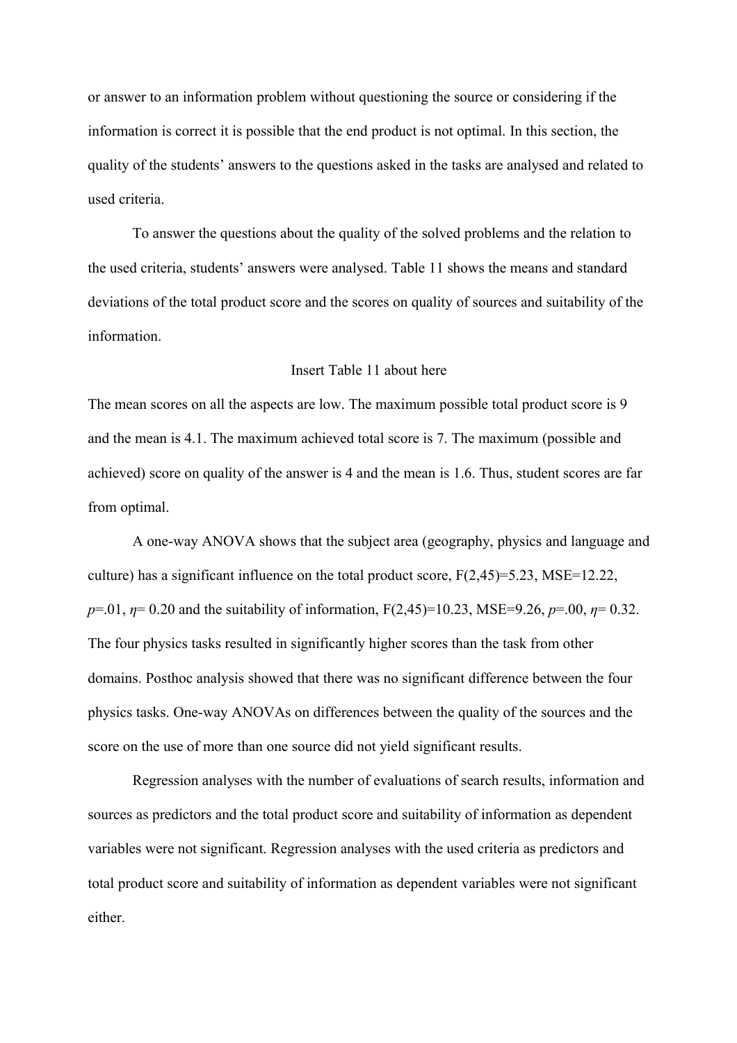or answer to an information problem without questioning the source or considering if the information is correct it is possible that the end product is not optimal. In this section, the quality of the students' answers to the questions asked in the tasks are analysed and related to used criteria.

To answer the questions about the quality of the solved problems and the relation to the used criteria, students' answers were analysed. Table 11 shows the means and standard deviations of the total product score and the scores on quality of sources and suitability of the information.

#### Insert Table 11 about here

The mean scores on all the aspects are low. The maximum possible total product score is 9 and the mean is 4.1. The maximum achieved total score is 7. The maximum (possible and achieved) score on quality of the answer is 4 and the mean is 1.6. Thus, student scores are far from optimal.

A one-way ANOVA shows that the subject area (geography, physics and language and culture) has a significant influence on the total product score,  $F(2,45)=5.23$ , MSE=12.22, *p*=.01, *η*= 0.20 and the suitability of information, F(2,45)=10.23, MSE=9.26, *p*=.00, *η*= 0.32. The four physics tasks resulted in significantly higher scores than the task from other domains. Posthoc analysis showed that there was no significant difference between the four physics tasks. One-way ANOVAs on differences between the quality of the sources and the score on the use of more than one source did not yield significant results.

Regression analyses with the number of evaluations of search results, information and sources as predictors and the total product score and suitability of information as dependent variables were not significant. Regression analyses with the used criteria as predictors and total product score and suitability of information as dependent variables were not significant either.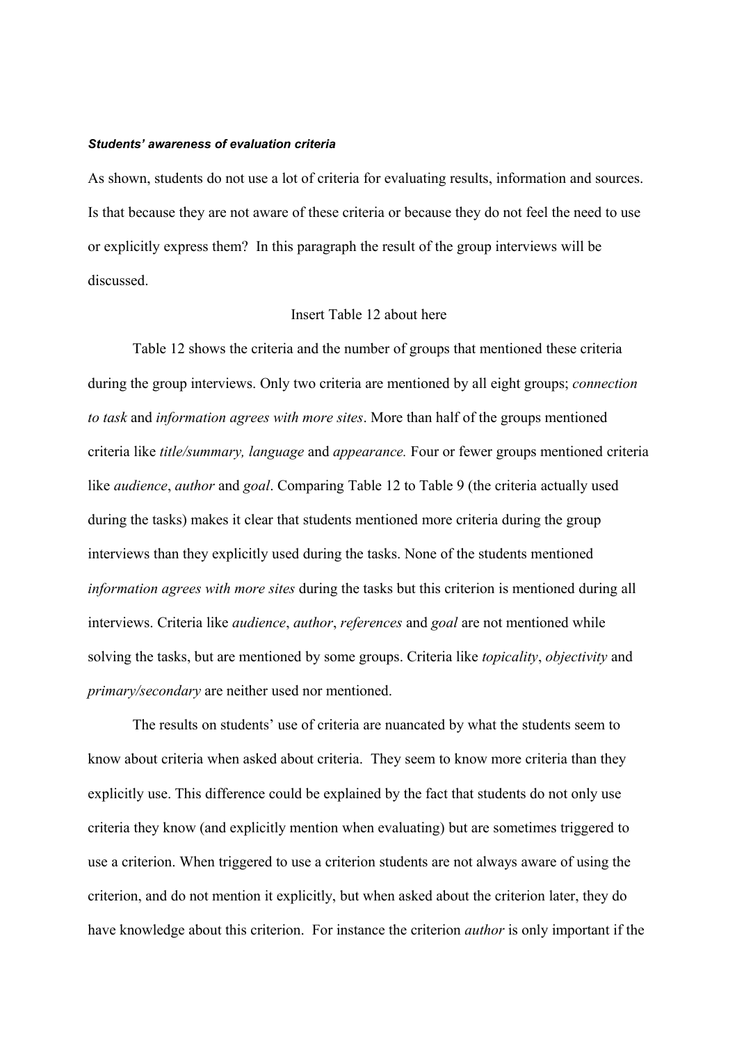#### *Students' awareness of evaluation criteria*

As shown, students do not use a lot of criteria for evaluating results, information and sources. Is that because they are not aware of these criteria or because they do not feel the need to use or explicitly express them? In this paragraph the result of the group interviews will be discussed.

#### Insert Table 12 about here

Table 12 shows the criteria and the number of groups that mentioned these criteria during the group interviews. Only two criteria are mentioned by all eight groups; *connection to task* and *information agrees with more sites*. More than half of the groups mentioned criteria like *title/summary, language* and *appearance.* Four or fewer groups mentioned criteria like *audience*, *author* and *goal*. Comparing Table 12 to Table 9 (the criteria actually used during the tasks) makes it clear that students mentioned more criteria during the group interviews than they explicitly used during the tasks. None of the students mentioned *information agrees with more sites* during the tasks but this criterion is mentioned during all interviews. Criteria like *audience*, *author*, *references* and *goal* are not mentioned while solving the tasks, but are mentioned by some groups. Criteria like *topicality*, *objectivity* and *primary/secondary* are neither used nor mentioned.

The results on students' use of criteria are nuancated by what the students seem to know about criteria when asked about criteria. They seem to know more criteria than they explicitly use. This difference could be explained by the fact that students do not only use criteria they know (and explicitly mention when evaluating) but are sometimes triggered to use a criterion. When triggered to use a criterion students are not always aware of using the criterion, and do not mention it explicitly, but when asked about the criterion later, they do have knowledge about this criterion. For instance the criterion *author* is only important if the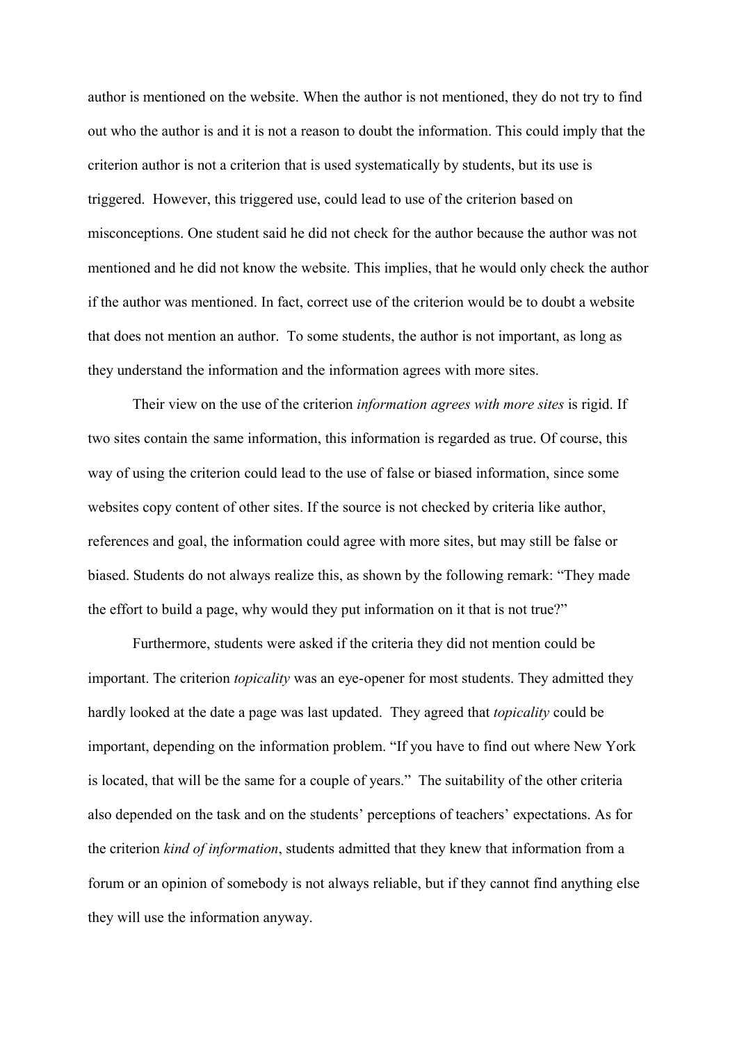author is mentioned on the website. When the author is not mentioned, they do not try to find out who the author is and it is not a reason to doubt the information. This could imply that the criterion author is not a criterion that is used systematically by students, but its use is triggered. However, this triggered use, could lead to use of the criterion based on misconceptions. One student said he did not check for the author because the author was not mentioned and he did not know the website. This implies, that he would only check the author if the author was mentioned. In fact, correct use of the criterion would be to doubt a website that does not mention an author. To some students, the author is not important, as long as they understand the information and the information agrees with more sites.

Their view on the use of the criterion *information agrees with more sites* is rigid. If two sites contain the same information, this information is regarded as true. Of course, this way of using the criterion could lead to the use of false or biased information, since some websites copy content of other sites. If the source is not checked by criteria like author, references and goal, the information could agree with more sites, but may still be false or biased. Students do not always realize this, as shown by the following remark: "They made the effort to build a page, why would they put information on it that is not true?"

Furthermore, students were asked if the criteria they did not mention could be important. The criterion *topicality* was an eye-opener for most students. They admitted they hardly looked at the date a page was last updated. They agreed that *topicality* could be important, depending on the information problem. "If you have to find out where New York is located, that will be the same for a couple of years." The suitability of the other criteria also depended on the task and on the students' perceptions of teachers' expectations. As for the criterion *kind of information*, students admitted that they knew that information from a forum or an opinion of somebody is not always reliable, but if they cannot find anything else they will use the information anyway.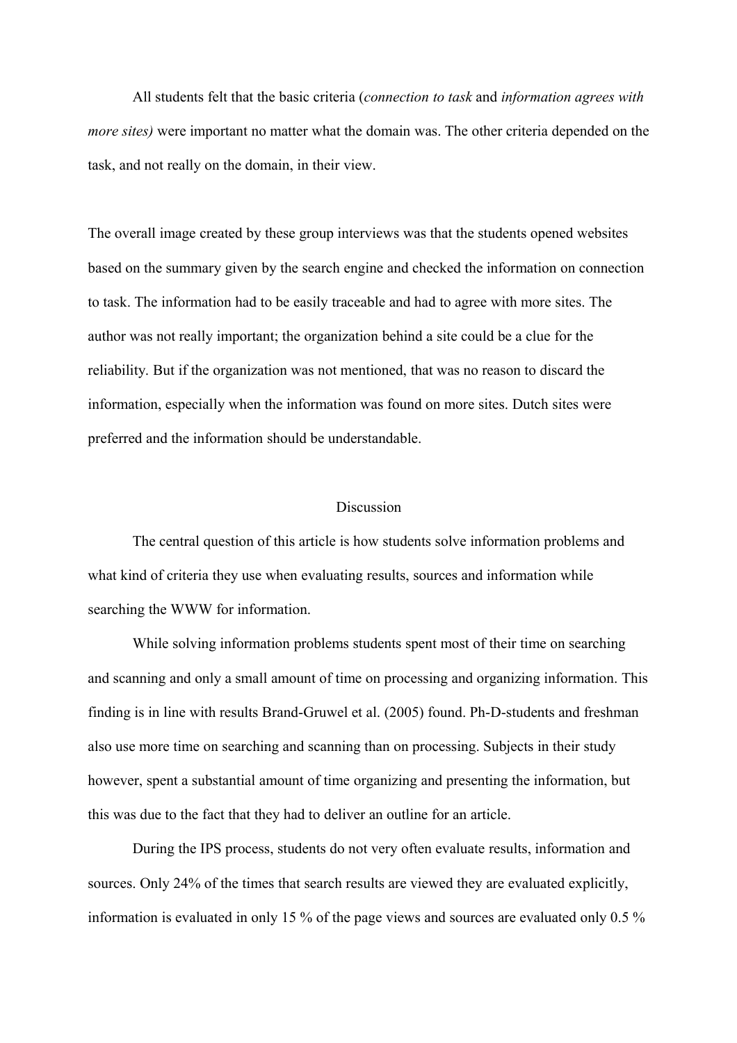All students felt that the basic criteria (*connection to task* and *information agrees with more sites*) were important no matter what the domain was. The other criteria depended on the task, and not really on the domain, in their view.

The overall image created by these group interviews was that the students opened websites based on the summary given by the search engine and checked the information on connection to task. The information had to be easily traceable and had to agree with more sites. The author was not really important; the organization behind a site could be a clue for the reliability. But if the organization was not mentioned, that was no reason to discard the information, especially when the information was found on more sites. Dutch sites were preferred and the information should be understandable.

#### Discussion

The central question of this article is how students solve information problems and what kind of criteria they use when evaluating results, sources and information while searching the WWW for information.

While solving information problems students spent most of their time on searching and scanning and only a small amount of time on processing and organizing information. This finding is in line with results Brand-Gruwel et al. (2005) found. Ph-D-students and freshman also use more time on searching and scanning than on processing. Subjects in their study however, spent a substantial amount of time organizing and presenting the information, but this was due to the fact that they had to deliver an outline for an article.

During the IPS process, students do not very often evaluate results, information and sources. Only 24% of the times that search results are viewed they are evaluated explicitly, information is evaluated in only 15 % of the page views and sources are evaluated only 0.5 %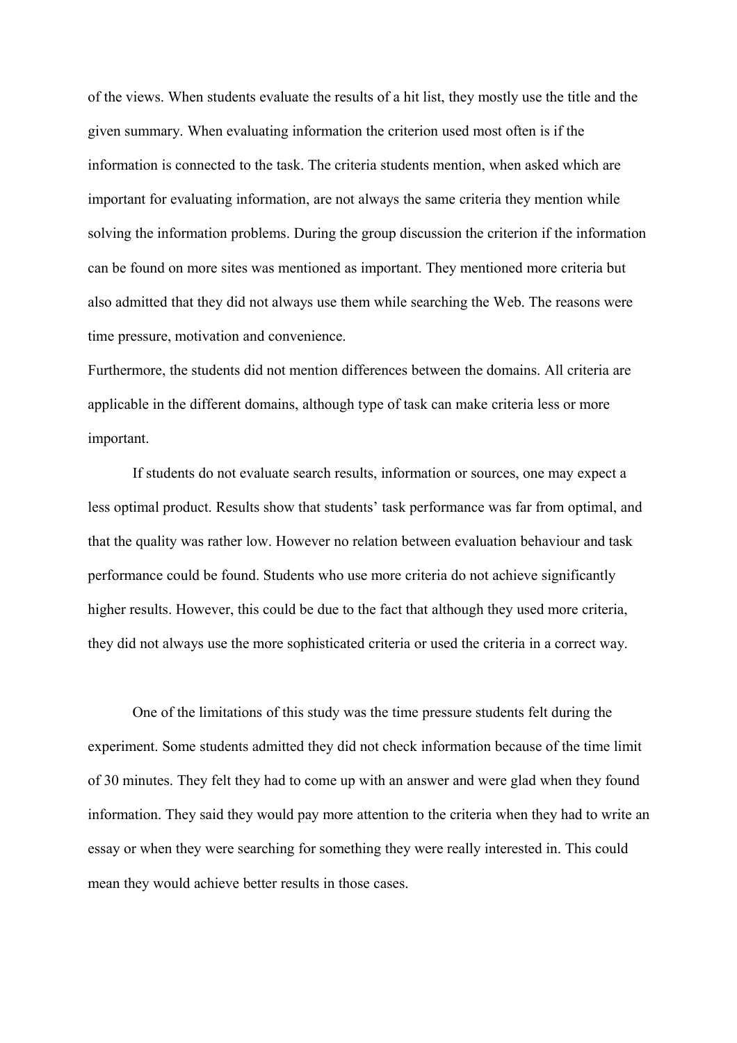of the views. When students evaluate the results of a hit list, they mostly use the title and the given summary. When evaluating information the criterion used most often is if the information is connected to the task. The criteria students mention, when asked which are important for evaluating information, are not always the same criteria they mention while solving the information problems. During the group discussion the criterion if the information can be found on more sites was mentioned as important. They mentioned more criteria but also admitted that they did not always use them while searching the Web. The reasons were time pressure, motivation and convenience.

Furthermore, the students did not mention differences between the domains. All criteria are applicable in the different domains, although type of task can make criteria less or more important.

If students do not evaluate search results, information or sources, one may expect a less optimal product. Results show that students' task performance was far from optimal, and that the quality was rather low. However no relation between evaluation behaviour and task performance could be found. Students who use more criteria do not achieve significantly higher results. However, this could be due to the fact that although they used more criteria, they did not always use the more sophisticated criteria or used the criteria in a correct way.

One of the limitations of this study was the time pressure students felt during the experiment. Some students admitted they did not check information because of the time limit of 30 minutes. They felt they had to come up with an answer and were glad when they found information. They said they would pay more attention to the criteria when they had to write an essay or when they were searching for something they were really interested in. This could mean they would achieve better results in those cases.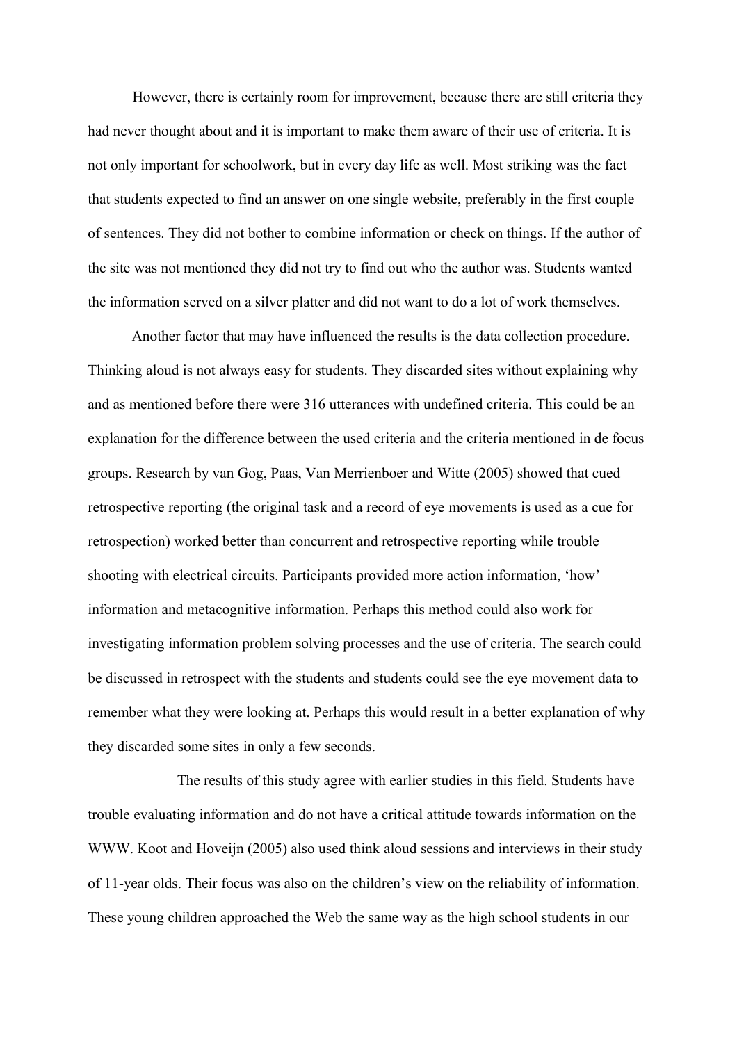However, there is certainly room for improvement, because there are still criteria they had never thought about and it is important to make them aware of their use of criteria. It is not only important for schoolwork, but in every day life as well. Most striking was the fact that students expected to find an answer on one single website, preferably in the first couple of sentences. They did not bother to combine information or check on things. If the author of the site was not mentioned they did not try to find out who the author was. Students wanted the information served on a silver platter and did not want to do a lot of work themselves.

Another factor that may have influenced the results is the data collection procedure. Thinking aloud is not always easy for students. They discarded sites without explaining why and as mentioned before there were 316 utterances with undefined criteria. This could be an explanation for the difference between the used criteria and the criteria mentioned in de focus groups. Research by van Gog, Paas, Van Merrienboer and Witte (2005) showed that cued retrospective reporting (the original task and a record of eye movements is used as a cue for retrospection) worked better than concurrent and retrospective reporting while trouble shooting with electrical circuits. Participants provided more action information, 'how' information and metacognitive information. Perhaps this method could also work for investigating information problem solving processes and the use of criteria. The search could be discussed in retrospect with the students and students could see the eye movement data to remember what they were looking at. Perhaps this would result in a better explanation of why they discarded some sites in only a few seconds.

The results of this study agree with earlier studies in this field. Students have trouble evaluating information and do not have a critical attitude towards information on the WWW. Koot and Hoveijn (2005) also used think aloud sessions and interviews in their study of 11-year olds. Their focus was also on the children's view on the reliability of information. These young children approached the Web the same way as the high school students in our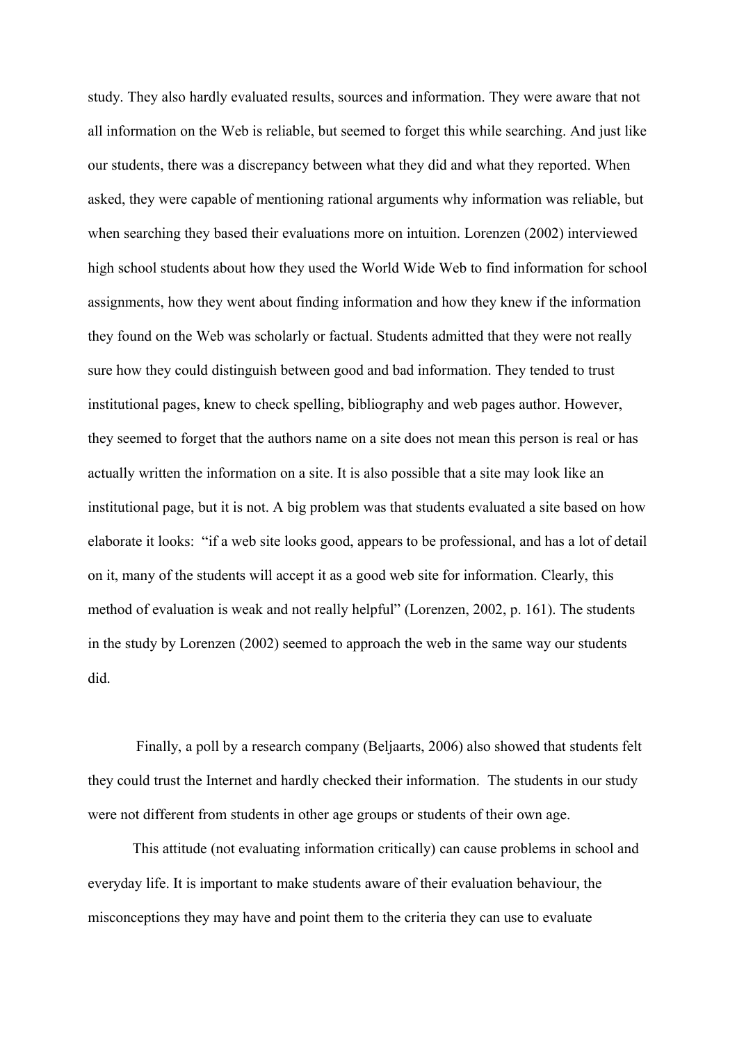study. They also hardly evaluated results, sources and information. They were aware that not all information on the Web is reliable, but seemed to forget this while searching. And just like our students, there was a discrepancy between what they did and what they reported. When asked, they were capable of mentioning rational arguments why information was reliable, but when searching they based their evaluations more on intuition. Lorenzen (2002) interviewed high school students about how they used the World Wide Web to find information for school assignments, how they went about finding information and how they knew if the information they found on the Web was scholarly or factual. Students admitted that they were not really sure how they could distinguish between good and bad information. They tended to trust institutional pages, knew to check spelling, bibliography and web pages author. However, they seemed to forget that the authors name on a site does not mean this person is real or has actually written the information on a site. It is also possible that a site may look like an institutional page, but it is not. A big problem was that students evaluated a site based on how elaborate it looks: "if a web site looks good, appears to be professional, and has a lot of detail on it, many of the students will accept it as a good web site for information. Clearly, this method of evaluation is weak and not really helpful" (Lorenzen, 2002, p. 161). The students in the study by Lorenzen (2002) seemed to approach the web in the same way our students did.

 Finally, a poll by a research company (Beljaarts, 2006) also showed that students felt they could trust the Internet and hardly checked their information. The students in our study were not different from students in other age groups or students of their own age.

This attitude (not evaluating information critically) can cause problems in school and everyday life. It is important to make students aware of their evaluation behaviour, the misconceptions they may have and point them to the criteria they can use to evaluate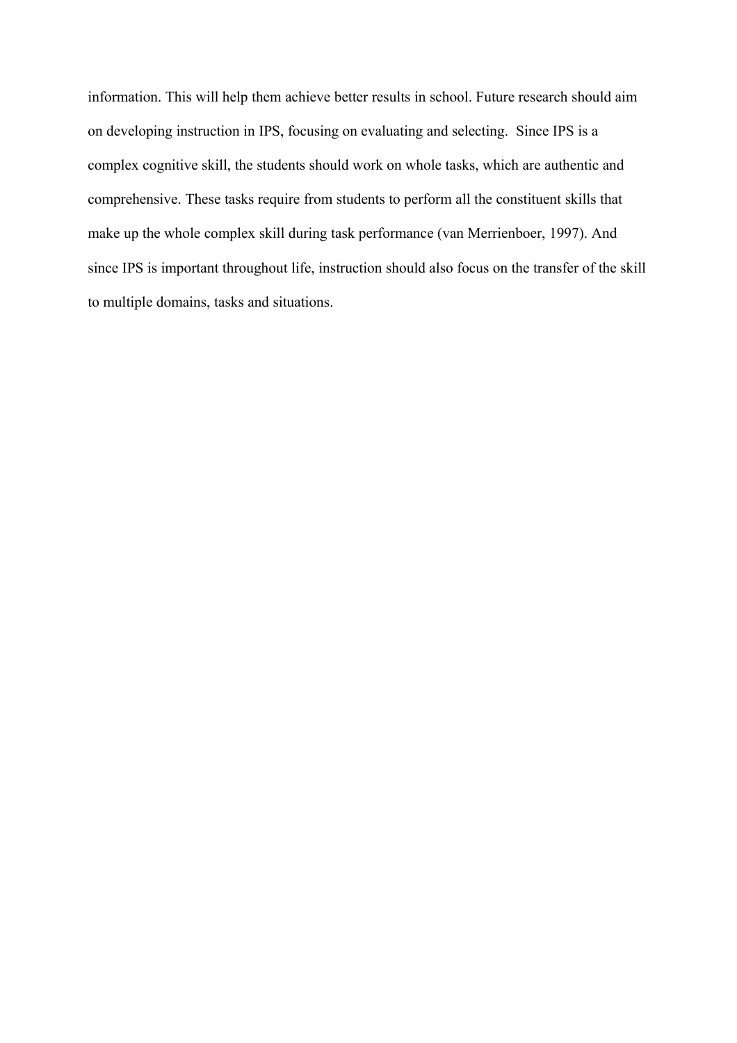information. This will help them achieve better results in school. Future research should aim on developing instruction in IPS, focusing on evaluating and selecting. Since IPS is a complex cognitive skill, the students should work on whole tasks, which are authentic and comprehensive. These tasks require from students to perform all the constituent skills that make up the whole complex skill during task performance (van Merrienboer, 1997). And since IPS is important throughout life, instruction should also focus on the transfer of the skill to multiple domains, tasks and situations.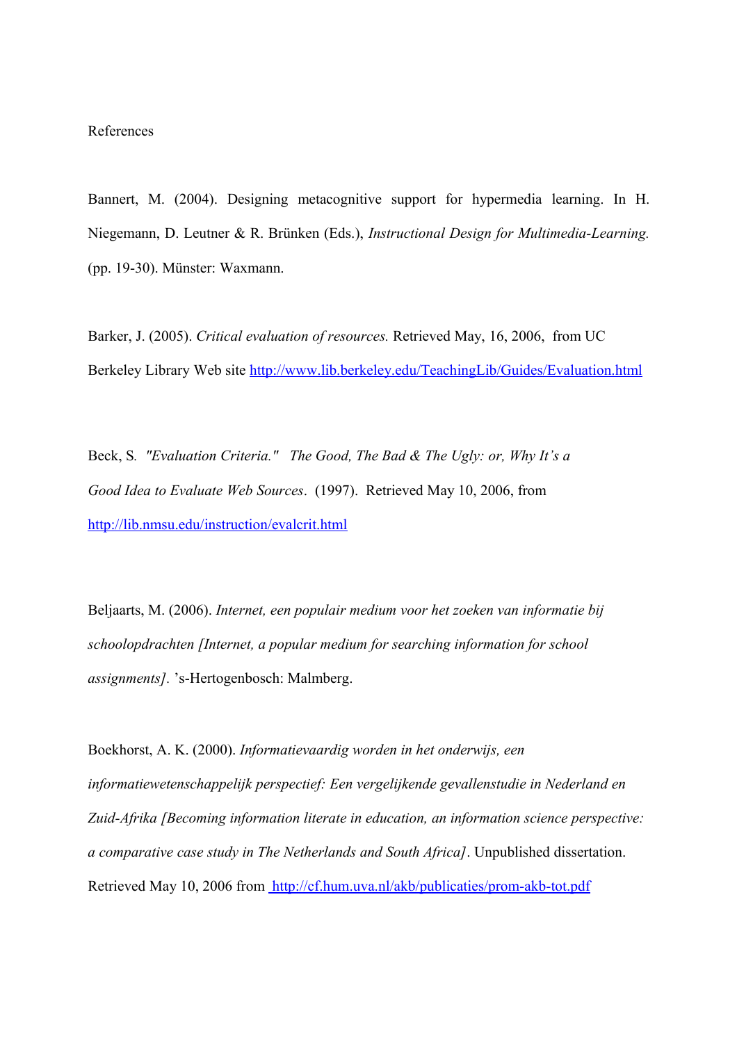#### References

Bannert, M. (2004). Designing metacognitive support for hypermedia learning. In H. Niegemann, D. Leutner & R. Brünken (Eds.), *Instructional Design for Multimedia-Learning.* (pp. 19-30). Münster: Waxmann.

Barker, J. (2005). *Critical evaluation of resources.* Retrieved May, 16, 2006, from UC Berkeley Library Web site<http://www.lib.berkeley.edu/TeachingLib/Guides/Evaluation.html>

Beck, S*. "Evaluation Criteria." The Good, The Bad & The Ugly: or, Why It's a Good Idea to Evaluate Web Sources*. (1997). Retrieved May 10, 2006, from <http://lib.nmsu.edu/instruction/evalcrit.html>

Beljaarts, M. (2006). *Internet, een populair medium voor het zoeken van informatie bij schoolopdrachten [Internet, a popular medium for searching information for school assignments].* 's-Hertogenbosch: Malmberg.

Boekhorst, A. K. (2000). *Informatievaardig worden in het onderwijs, een informatiewetenschappelijk perspectief: Een vergelijkende gevallenstudie in Nederland en Zuid-Afrika [Becoming information literate in education, an information science perspective: a comparative case study in The Netherlands and South Africa]*. Unpublished dissertation. Retrieved May 10, 2006 from [http://cf.hum.uva.nl/akb/publicaties/prom-akb-tot.pdf](http://www.hum.uva.nl/~albert/public/prom-akb-tot.pdf)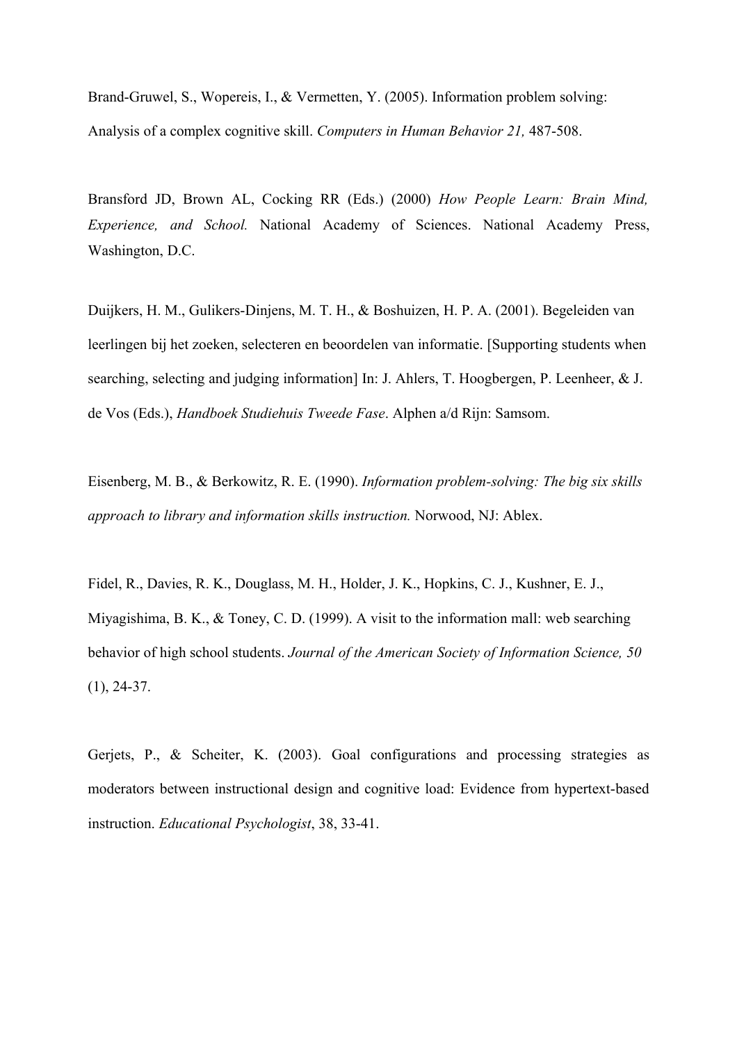Brand-Gruwel, S., Wopereis, I., & Vermetten, Y. (2005). Information problem solving: Analysis of a complex cognitive skill. *Computers in Human Behavior 21,* 487-508.

Bransford JD, Brown AL, Cocking RR (Eds.) (2000) *How People Learn: Brain Mind, Experience, and School.* National Academy of Sciences. National Academy Press, Washington, D.C.

Duijkers, H. M., Gulikers-Dinjens, M. T. H., & Boshuizen, H. P. A. (2001). Begeleiden van leerlingen bij het zoeken, selecteren en beoordelen van informatie. [Supporting students when searching, selecting and judging information] In: J. Ahlers, T. Hoogbergen, P. Leenheer, & J. de Vos (Eds.), *Handboek Studiehuis Tweede Fase*. Alphen a/d Rijn: Samsom.

Eisenberg, M. B., & Berkowitz, R. E. (1990). *Information problem-solving: The big six skills approach to library and information skills instruction.* Norwood, NJ: Ablex.

Fidel, R., Davies, R. K., Douglass, M. H., Holder, J. K., Hopkins, C. J., Kushner, E. J., Miyagishima, B. K., & Toney, C. D. (1999). A visit to the information mall: web searching behavior of high school students. *Journal of the American Society of Information Science, 50* (1), 24-37.

Gerjets, P., & Scheiter, K. (2003). Goal configurations and processing strategies as moderators between instructional design and cognitive load: Evidence from hypertext-based instruction. *Educational Psychologist*, 38, 33-41.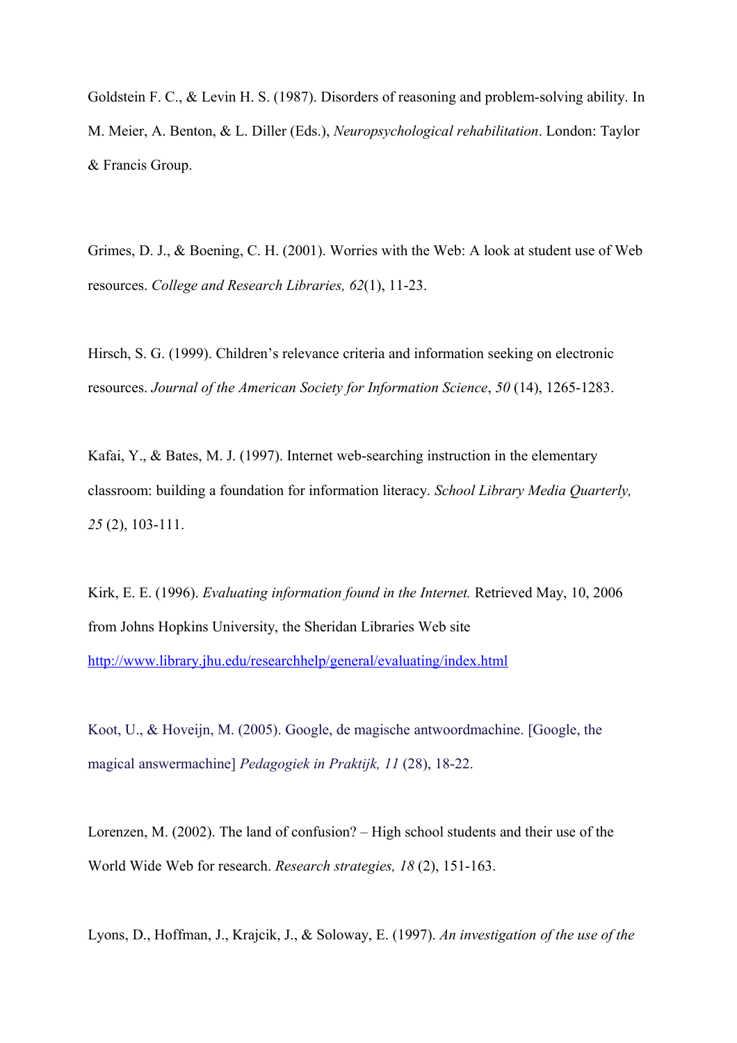Goldstein F. C., & Levin H. S. (1987). Disorders of reasoning and problem-solving ability. In M. Meier, A. Benton, & L. Diller (Eds.), *Neuropsychological rehabilitation*. London: Taylor & Francis Group.

Grimes, D. J., & Boening, C. H. (2001). Worries with the Web: A look at student use of Web resources. *College and Research Libraries, 62*(1), 11-23.

Hirsch, S. G. (1999). Children's relevance criteria and information seeking on electronic resources. *Journal of the American Society for Information Science*, *50* (14), 1265-1283.

Kafai, Y., & Bates, M. J. (1997). Internet web-searching instruction in the elementary classroom: building a foundation for information literacy. *School Library Media Quarterly, 25* (2), 103-111.

Kirk, E. E. (1996). *Evaluating information found in the Internet.* Retrieved May, 10, 2006 from Johns Hopkins University, the Sheridan Libraries Web site <http://www.library.jhu.edu/researchhelp/general/evaluating/index.html>

Koot, U., & Hoveijn, M. (2005). Google, de magische antwoordmachine. [Google, the magical answermachine] *Pedagogiek in Praktijk, 11* (28), 18-22.

Lorenzen, M. (2002). The land of confusion? – High school students and their use of the World Wide Web for research. *Research strategies, 18* (2), 151-163.

Lyons, D., Hoffman, J., Krajcik, J., & Soloway, E. (1997). *An investigation of the use of the*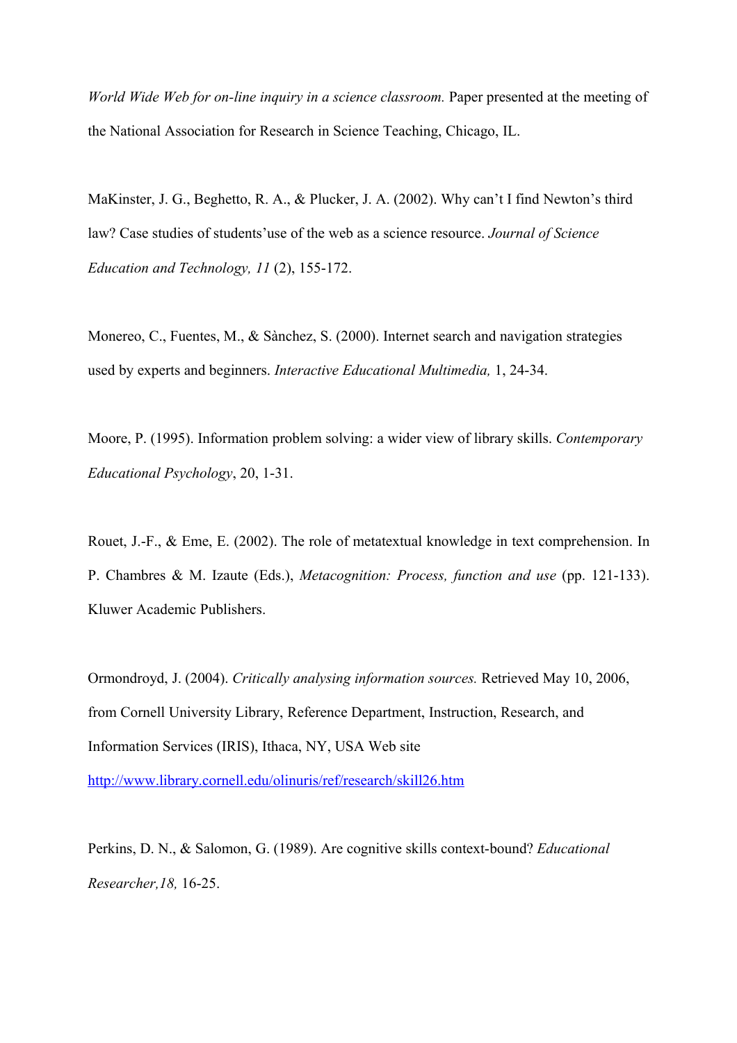*World Wide Web for on-line inquiry in a science classroom.* Paper presented at the meeting of the National Association for Research in Science Teaching, Chicago, IL.

MaKinster, J. G., Beghetto, R. A., & Plucker, J. A. (2002). Why can't I find Newton's third law? Case studies of students'use of the web as a science resource. *Journal of Science Education and Technology, 11* (2), 155-172.

Monereo, C., Fuentes, M., & Sànchez, S. (2000). Internet search and navigation strategies used by experts and beginners. *Interactive Educational Multimedia,* 1, 24-34.

Moore, P. (1995). Information problem solving: a wider view of library skills. *Contemporary Educational Psychology*, 20, 1-31.

Rouet, J.-F., & Eme, E. (2002). The role of metatextual knowledge in text comprehension. In P. Chambres & M. Izaute (Eds.), *Metacognition: Process, function and use* (pp. 121-133). Kluwer Academic Publishers.

Ormondroyd, J. (2004). *Critically analysing information sources.* Retrieved May 10, 2006, from Cornell University Library, Reference Department, Instruction, Research, and Information Services (IRIS), Ithaca, NY, USA Web site

<http://www.library.cornell.edu/olinuris/ref/research/skill26.htm>

Perkins, D. N., & Salomon, G. (1989). Are cognitive skills context-bound? *Educational Researcher,18,* 16-25.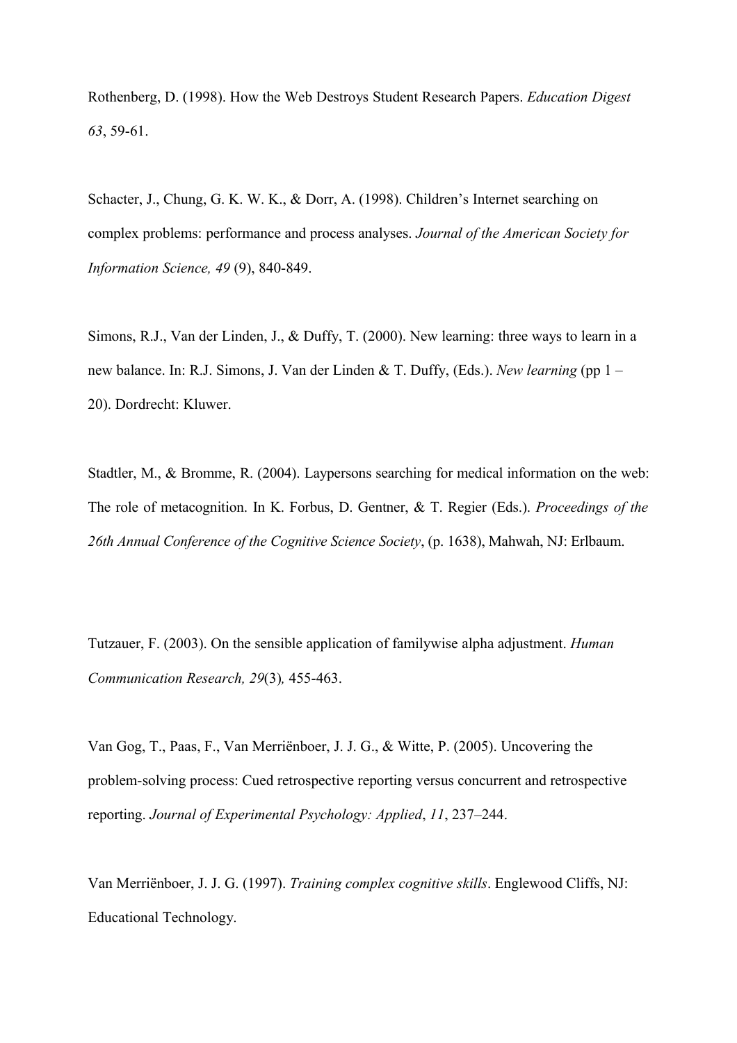Rothenberg, D. (1998). How the Web Destroys Student Research Papers. *Education Digest 63*, 59-61.

Schacter, J., Chung, G. K. W. K., & Dorr, A. (1998). Children's Internet searching on complex problems: performance and process analyses. *Journal of the American Society for Information Science, 49* (9), 840-849.

Simons, R.J., Van der Linden, J., & Duffy, T. (2000). New learning: three ways to learn in a new balance. In: R.J. Simons, J. Van der Linden & T. Duffy, (Eds.). *New learning* (pp 1 – 20). Dordrecht: Kluwer.

Stadtler, M., & Bromme, R. (2004). Laypersons searching for medical information on the web: The role of metacognition. In K. Forbus, D. Gentner, & T. Regier (Eds.). *Proceedings of the 26th Annual Conference of the Cognitive Science Society*, (p. 1638), Mahwah, NJ: Erlbaum.

Tutzauer, F. (2003). On the sensible application of familywise alpha adjustment. *Human Communication Research, 29*(3)*,* 455-463.

Van Gog, T., Paas, F., Van Merriënboer, J. J. G., & Witte, P. (2005). Uncovering the problem-solving process: Cued retrospective reporting versus concurrent and retrospective reporting. *Journal of Experimental Psychology: Applied*, *11*, 237–244.

Van Merriënboer, J. J. G. (1997). *Training complex cognitive skills*. Englewood Cliffs, NJ: Educational Technology.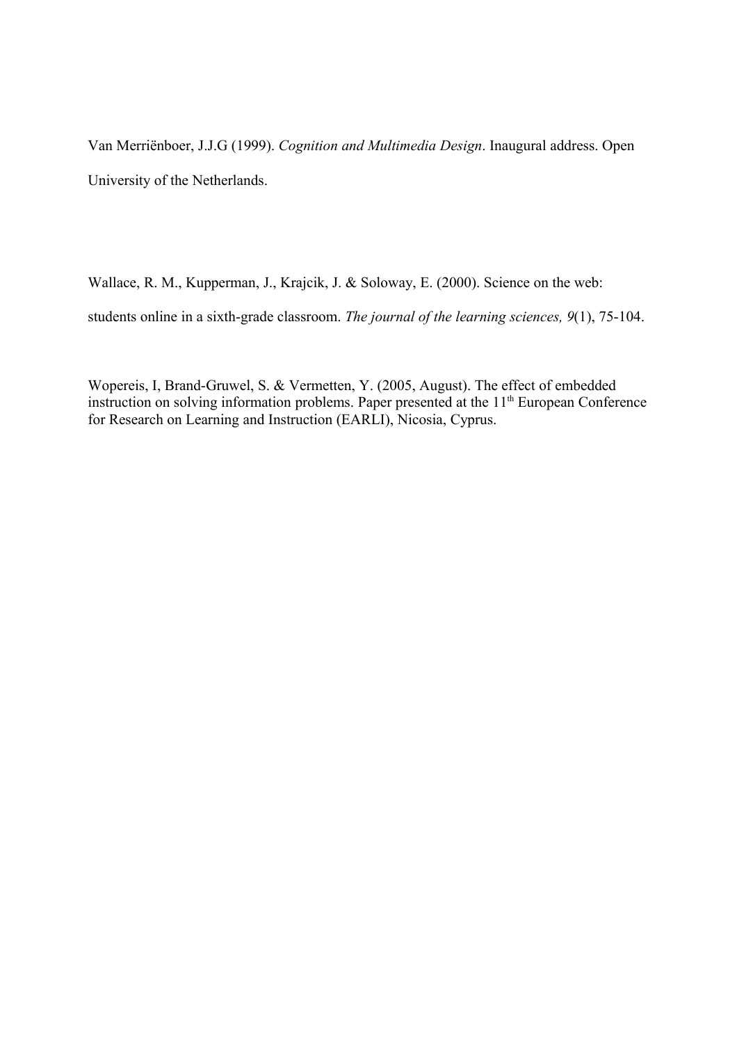Van Merriënboer, J.J.G (1999). *Cognition and Multimedia Design*. Inaugural address. Open University of the Netherlands.

Wallace, R. M., Kupperman, J., Krajcik, J. & Soloway, E. (2000). Science on the web: students online in a sixth-grade classroom. *The journal of the learning sciences, 9*(1), 75-104.

Wopereis, I, Brand-Gruwel, S. & Vermetten, Y. (2005, August). The effect of embedded instruction on solving information problems. Paper presented at the 11<sup>th</sup> European Conference for Research on Learning and Instruction (EARLI), Nicosia, Cyprus.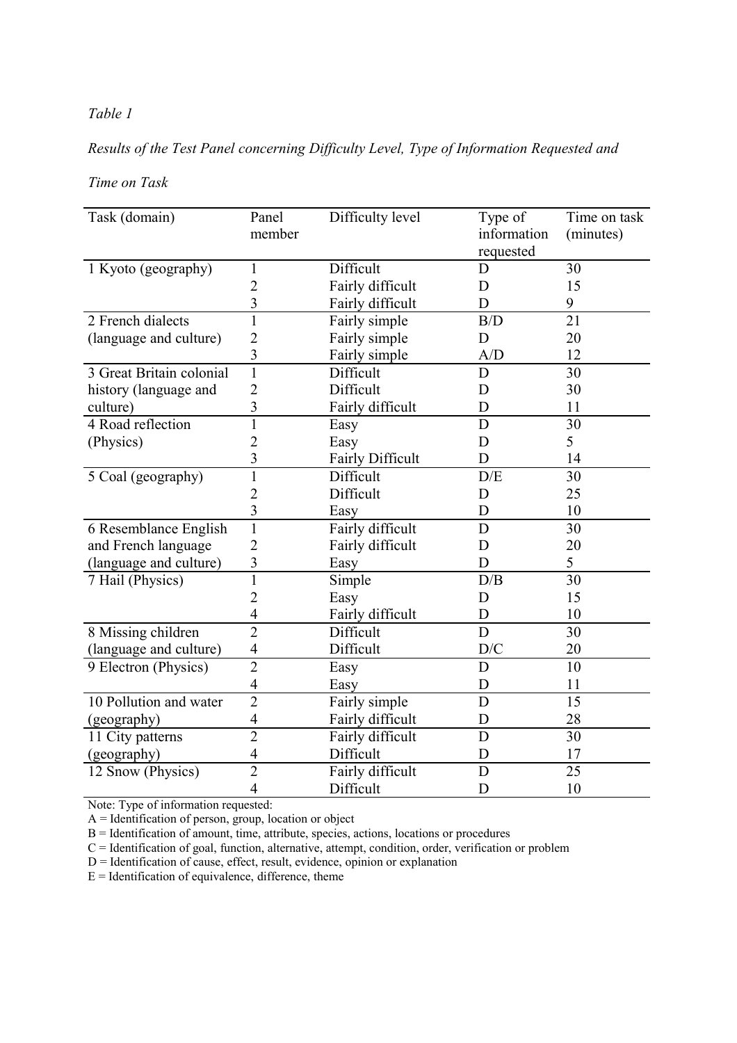## *Results of the Test Panel concerning Difficulty Level, Type of Information Requested and*

*Time on Task* 

| Task (domain)            | Panel<br>member | Difficulty level        | Type of<br>information<br>requested | Time on task<br>(minutes) |
|--------------------------|-----------------|-------------------------|-------------------------------------|---------------------------|
| 1 Kyoto (geography)      | $\mathbf{1}$    | Difficult               | D                                   | 30                        |
|                          | $\overline{2}$  | Fairly difficult        | D                                   | 15                        |
|                          | 3               | Fairly difficult        | D                                   | 9                         |
| 2 French dialects        | $\mathbf{1}$    | Fairly simple           | B/D                                 | 21                        |
| (language and culture)   | $\overline{2}$  | Fairly simple           | D                                   | 20                        |
|                          | 3               | Fairly simple           | A/D                                 | 12                        |
| 3 Great Britain colonial | $\overline{1}$  | Difficult               | D                                   | 30                        |
| history (language and    | $\overline{2}$  | Difficult               | D                                   | 30                        |
| culture)                 | 3               | Fairly difficult        | D                                   | 11                        |
| 4 Road reflection        | $\mathbf{1}$    | Easy                    | D                                   | 30                        |
| (Physics)                | $\overline{c}$  | Easy                    | D                                   | 5                         |
|                          | $\overline{3}$  | <b>Fairly Difficult</b> | D                                   | 14                        |
| 5 Coal (geography)       | $\overline{1}$  | Difficult               | D/E                                 | 30                        |
|                          | $\overline{c}$  | Difficult               | D                                   | 25                        |
|                          | 3               | Easy                    | D                                   | 10                        |
| 6 Resemblance English    | $\mathbf{1}$    | Fairly difficult        | D                                   | 30                        |
| and French language      | $\overline{c}$  | Fairly difficult        | D                                   | 20                        |
| (language and culture)   | 3               | Easy                    | D                                   | 5                         |
| 7 Hail (Physics)         | $\mathbf{1}$    | Simple                  | D/B                                 | 30                        |
|                          | $\overline{2}$  | Easy                    | D                                   | 15                        |
|                          | $\overline{4}$  | Fairly difficult        | D                                   | 10                        |
| 8 Missing children       | $\overline{2}$  | Difficult               | $\overline{D}$                      | 30                        |
| (language and culture)   | $\overline{4}$  | Difficult               | D/C                                 | 20                        |
| 9 Electron (Physics)     | $\overline{2}$  | Easy                    | D                                   | 10                        |
|                          | $\overline{4}$  | Easy                    | D                                   | 11                        |
| 10 Pollution and water   | $\overline{2}$  | Fairly simple           | D                                   | 15                        |
| (geography)              | 4               | Fairly difficult        | D                                   | 28                        |
| 11 City patterns         | $\overline{2}$  | Fairly difficult        | D                                   | 30                        |
| (geography)              | $\overline{4}$  | Difficult               | D                                   | 17                        |
| 12 Snow (Physics)        | $\overline{2}$  | Fairly difficult        | D                                   | 25                        |
|                          | $\overline{4}$  | Difficult               | D                                   | 10                        |

Note: Type of information requested:

 $A =$  Identification of person, group, location or object

B = Identification of amount, time, attribute, species, actions, locations or procedures

C = Identification of goal, function, alternative, attempt, condition, order, verification or problem

D = Identification of cause, effect, result, evidence, opinion or explanation

 $E =$  Identification of equivalence, difference, theme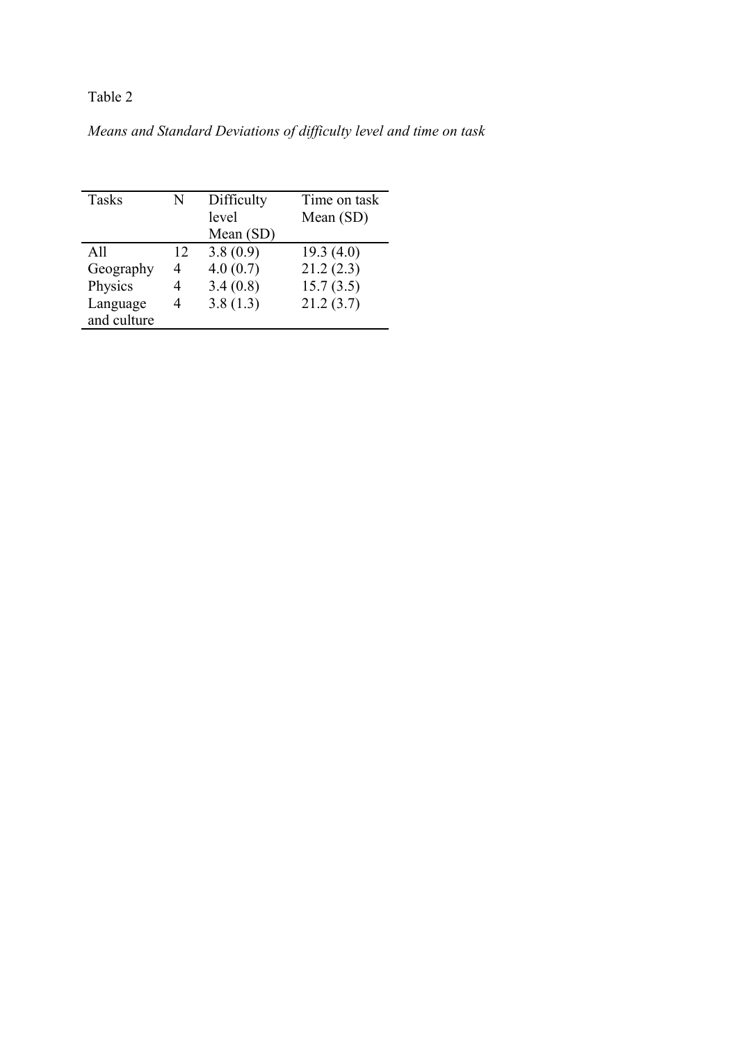*Means and Standard Deviations of difficulty level and time on task*

| <b>Tasks</b> | N  | Difficulty  | Time on task |
|--------------|----|-------------|--------------|
|              |    | level       | Mean $(SD)$  |
|              |    | Mean $(SD)$ |              |
| A11          | 12 | 3.8(0.9)    | 19.3(4.0)    |
| Geography    | 4  | 4.0(0.7)    | 21.2(2.3)    |
| Physics      |    | 3.4(0.8)    | 15.7(3.5)    |
| Language     |    | 3.8(1.3)    | 21.2(3.7)    |
| and culture  |    |             |              |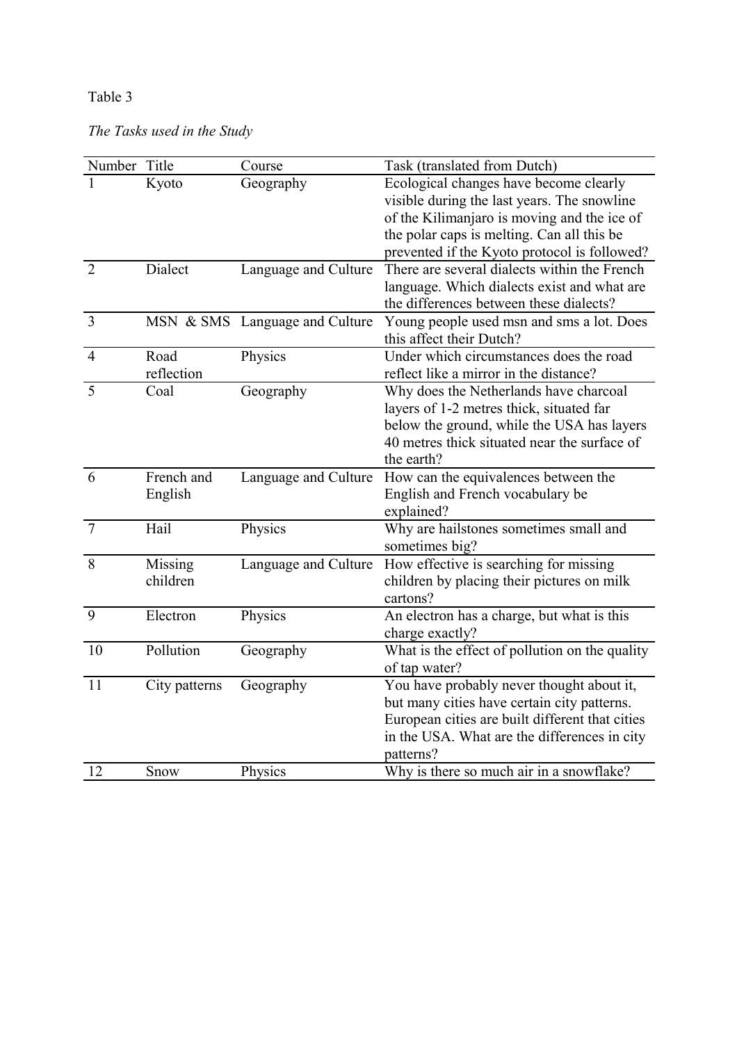## *The Tasks used in the Study*

| Number Title   |                       | Course                         | Task (translated from Dutch)                                                                                                                                                                                                       |
|----------------|-----------------------|--------------------------------|------------------------------------------------------------------------------------------------------------------------------------------------------------------------------------------------------------------------------------|
|                | Kyoto                 | Geography                      | Ecological changes have become clearly<br>visible during the last years. The snowline<br>of the Kilimanjaro is moving and the ice of<br>the polar caps is melting. Can all this be<br>prevented if the Kyoto protocol is followed? |
| $\overline{2}$ | Dialect               | Language and Culture           | There are several dialects within the French<br>language. Which dialects exist and what are<br>the differences between these dialects?                                                                                             |
| $\overline{3}$ |                       | MSN & SMS Language and Culture | Young people used msn and sms a lot. Does<br>this affect their Dutch?                                                                                                                                                              |
| $\overline{4}$ | Road<br>reflection    | Physics                        | Under which circumstances does the road<br>reflect like a mirror in the distance?                                                                                                                                                  |
| 5              | Coal                  | Geography                      | Why does the Netherlands have charcoal<br>layers of 1-2 metres thick, situated far<br>below the ground, while the USA has layers<br>40 metres thick situated near the surface of<br>the earth?                                     |
| 6              | French and<br>English | Language and Culture           | How can the equivalences between the<br>English and French vocabulary be<br>explained?                                                                                                                                             |
| $\overline{7}$ | Hail                  | Physics                        | Why are hailstones sometimes small and<br>sometimes big?                                                                                                                                                                           |
| 8              | Missing<br>children   | Language and Culture           | How effective is searching for missing<br>children by placing their pictures on milk<br>cartons?                                                                                                                                   |
| 9              | Electron              | Physics                        | An electron has a charge, but what is this<br>charge exactly?                                                                                                                                                                      |
| 10             | Pollution             | Geography                      | What is the effect of pollution on the quality<br>of tap water?                                                                                                                                                                    |
| 11<br>12       | City patterns         | Geography                      | You have probably never thought about it,<br>but many cities have certain city patterns.<br>European cities are built different that cities<br>in the USA. What are the differences in city<br>patterns?                           |
|                | Snow                  | Physics                        | Why is there so much air in a snowflake?                                                                                                                                                                                           |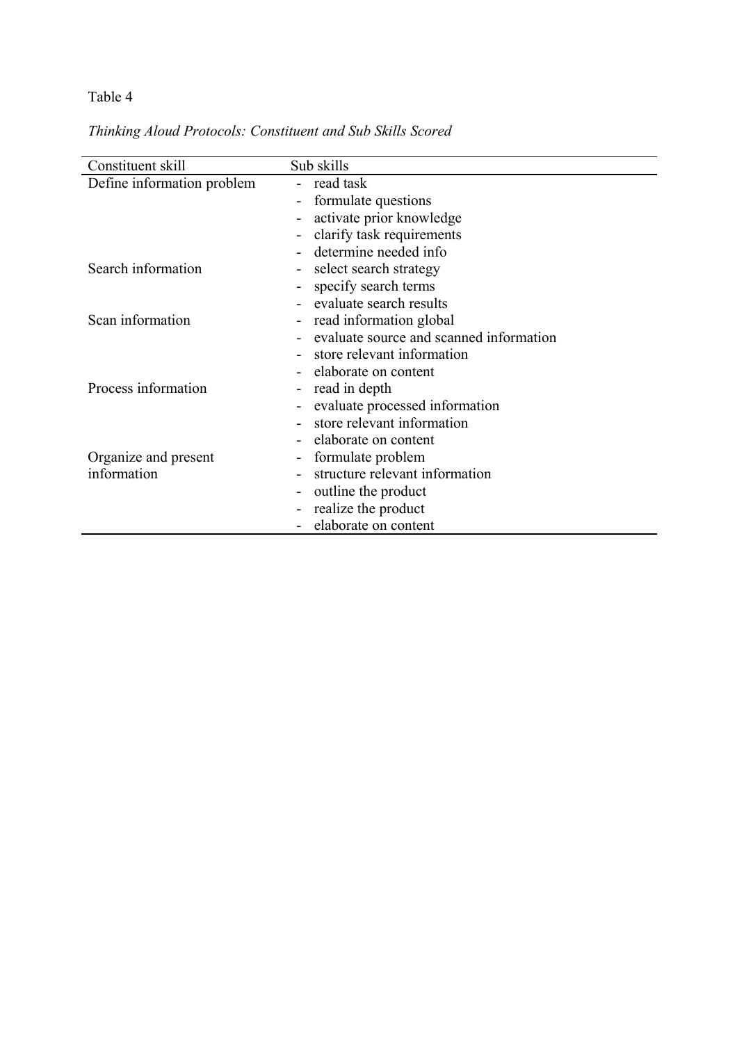*Thinking Aloud Protocols: Constituent and Sub Skills Scored* 

| Constituent skill          | Sub skills                              |
|----------------------------|-----------------------------------------|
| Define information problem | read task                               |
|                            | formulate questions<br>-                |
|                            | activate prior knowledge                |
|                            | clarify task requirements               |
|                            | determine needed info                   |
| Search information         | select search strategy                  |
|                            | specify search terms                    |
|                            | evaluate search results                 |
| Scan information           | read information global                 |
|                            | evaluate source and scanned information |
|                            | store relevant information              |
|                            | elaborate on content                    |
| Process information        | read in depth                           |
|                            | evaluate processed information          |
|                            | store relevant information              |
|                            | elaborate on content                    |
| Organize and present       | formulate problem<br>-                  |
| information                | structure relevant information          |
|                            | outline the product                     |
|                            | realize the product<br>-                |
|                            | elaborate on content                    |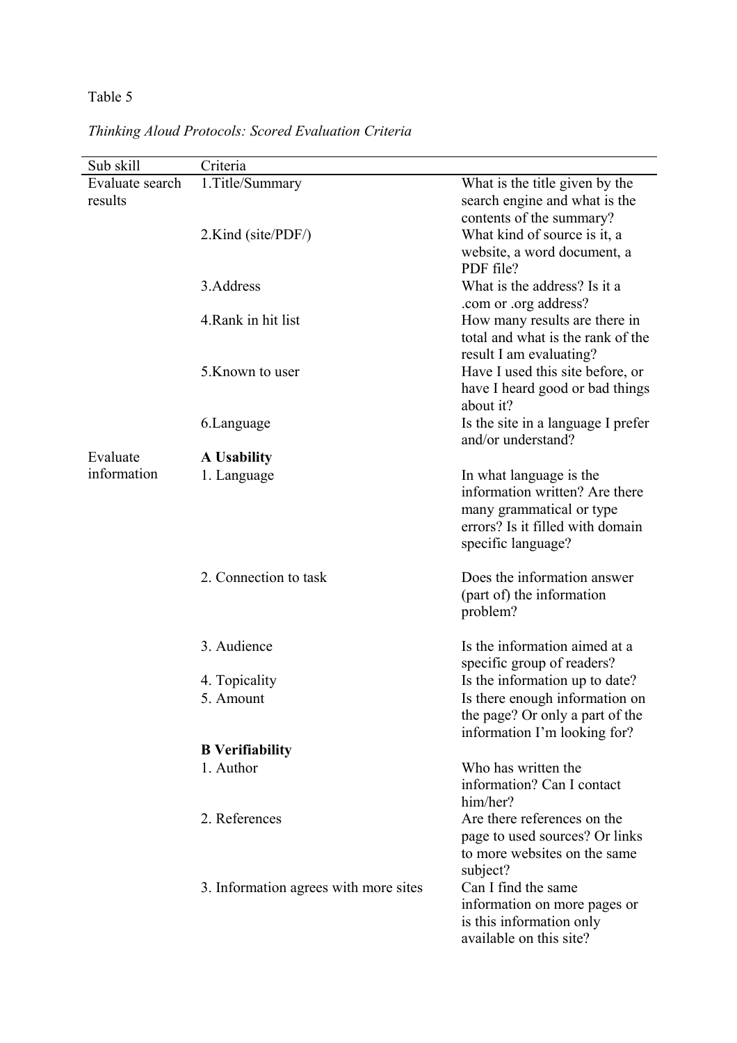| Sub skill       | Criteria                              |                                                       |
|-----------------|---------------------------------------|-------------------------------------------------------|
| Evaluate search | 1.Title/Summary                       | What is the title given by the                        |
| results         |                                       | search engine and what is the                         |
|                 |                                       | contents of the summary?                              |
|                 | 2.Kind (site/PDF/)                    | What kind of source is it, a                          |
|                 |                                       | website, a word document, a                           |
|                 |                                       | PDF file?                                             |
|                 | 3.Address                             | What is the address? Is it a<br>.com or .org address? |
|                 | 4. Rank in hit list                   | How many results are there in                         |
|                 |                                       | total and what is the rank of the                     |
|                 |                                       | result I am evaluating?                               |
|                 | 5. Known to user                      | Have I used this site before, or                      |
|                 |                                       | have I heard good or bad things                       |
|                 |                                       | about it?                                             |
|                 | 6.Language                            | Is the site in a language I prefer                    |
|                 |                                       | and/or understand?                                    |
| Evaluate        | <b>A Usability</b>                    |                                                       |
| information     | 1. Language                           | In what language is the                               |
|                 |                                       | information written? Are there                        |
|                 |                                       | many grammatical or type                              |
|                 |                                       | errors? Is it filled with domain                      |
|                 |                                       | specific language?                                    |
|                 | 2. Connection to task                 | Does the information answer                           |
|                 |                                       | (part of) the information                             |
|                 |                                       | problem?                                              |
|                 |                                       |                                                       |
|                 | 3. Audience                           | Is the information aimed at a                         |
|                 |                                       | specific group of readers?                            |
|                 | 4. Topicality                         | Is the information up to date?                        |
|                 | 5. Amount                             | Is there enough information on                        |
|                 |                                       | the page? Or only a part of the                       |
|                 |                                       | information I'm looking for?                          |
|                 | <b>B</b> Verifiability                |                                                       |
|                 | 1. Author                             | Who has written the                                   |
|                 |                                       | information? Can I contact                            |
|                 |                                       | him/her?                                              |
|                 | 2. References                         | Are there references on the                           |
|                 |                                       | page to used sources? Or links                        |
|                 |                                       | to more websites on the same                          |
|                 |                                       | subject?                                              |
|                 | 3. Information agrees with more sites | Can I find the same                                   |
|                 |                                       | information on more pages or                          |
|                 |                                       | is this information only                              |
|                 |                                       | available on this site?                               |

*Thinking Aloud Protocols: Scored Evaluation Criteria*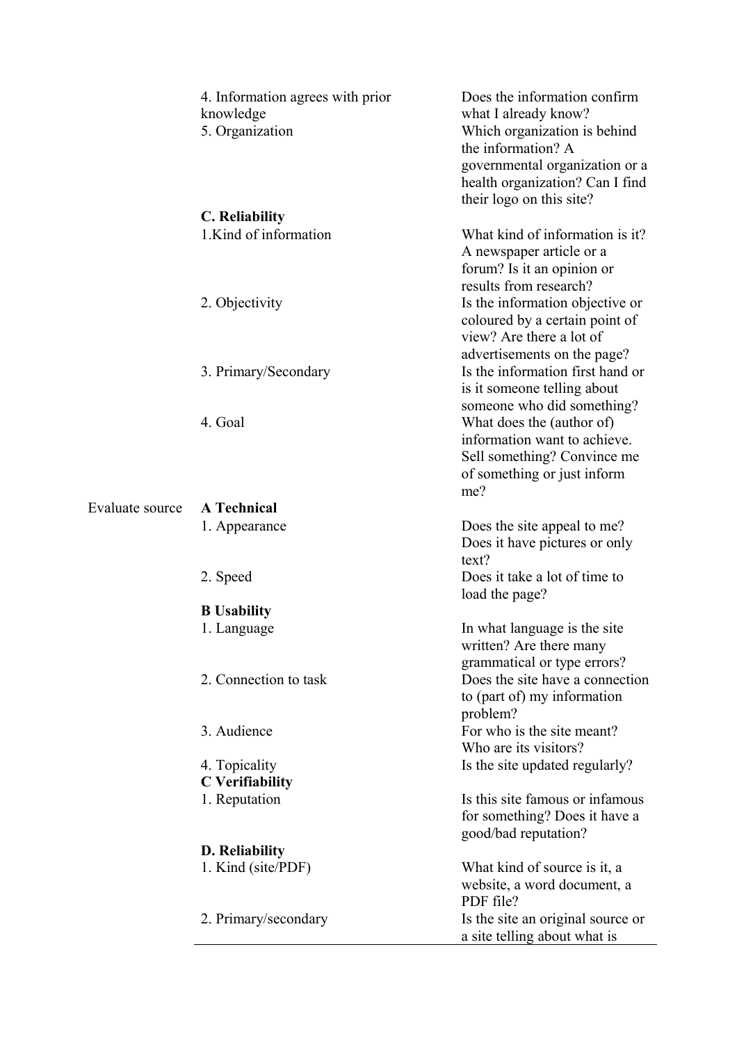|                 | 4. Information agrees with prior<br>knowledge<br>5. Organization | Does the information confirm<br>what I already know?<br>Which organization is behind<br>the information? A<br>governmental organization or a<br>health organization? Can I find<br>their logo on this site? |
|-----------------|------------------------------------------------------------------|-------------------------------------------------------------------------------------------------------------------------------------------------------------------------------------------------------------|
|                 | <b>C.</b> Reliability                                            |                                                                                                                                                                                                             |
|                 | 1. Kind of information                                           | What kind of information is it?<br>A newspaper article or a<br>forum? Is it an opinion or<br>results from research?                                                                                         |
|                 | 2. Objectivity                                                   | Is the information objective or<br>coloured by a certain point of<br>view? Are there a lot of<br>advertisements on the page?                                                                                |
|                 | 3. Primary/Secondary                                             | Is the information first hand or<br>is it someone telling about<br>someone who did something?                                                                                                               |
|                 | 4. Goal                                                          | What does the (author of)<br>information want to achieve.<br>Sell something? Convince me<br>of something or just inform<br>me?                                                                              |
| Evaluate source | <b>A</b> Technical                                               |                                                                                                                                                                                                             |
|                 | 1. Appearance                                                    | Does the site appeal to me?<br>Does it have pictures or only<br>text?                                                                                                                                       |
|                 | 2. Speed                                                         | Does it take a lot of time to<br>load the page?                                                                                                                                                             |
|                 | <b>B</b> Usability                                               |                                                                                                                                                                                                             |
|                 | 1. Language                                                      | In what language is the site<br>written? Are there many<br>grammatical or type errors?                                                                                                                      |
|                 | 2. Connection to task                                            | Does the site have a connection<br>to (part of) my information<br>problem?                                                                                                                                  |
|                 | 3. Audience                                                      | For who is the site meant?<br>Who are its visitors?                                                                                                                                                         |
|                 | 4. Topicality<br><b>C</b> Verifiability                          | Is the site updated regularly?                                                                                                                                                                              |
|                 | 1. Reputation                                                    | Is this site famous or infamous<br>for something? Does it have a<br>good/bad reputation?                                                                                                                    |
|                 | D. Reliability                                                   |                                                                                                                                                                                                             |
|                 | 1. Kind (site/PDF)                                               | What kind of source is it, a<br>website, a word document, a<br>PDF file?                                                                                                                                    |
|                 | 2. Primary/secondary                                             | Is the site an original source or<br>a site telling about what is                                                                                                                                           |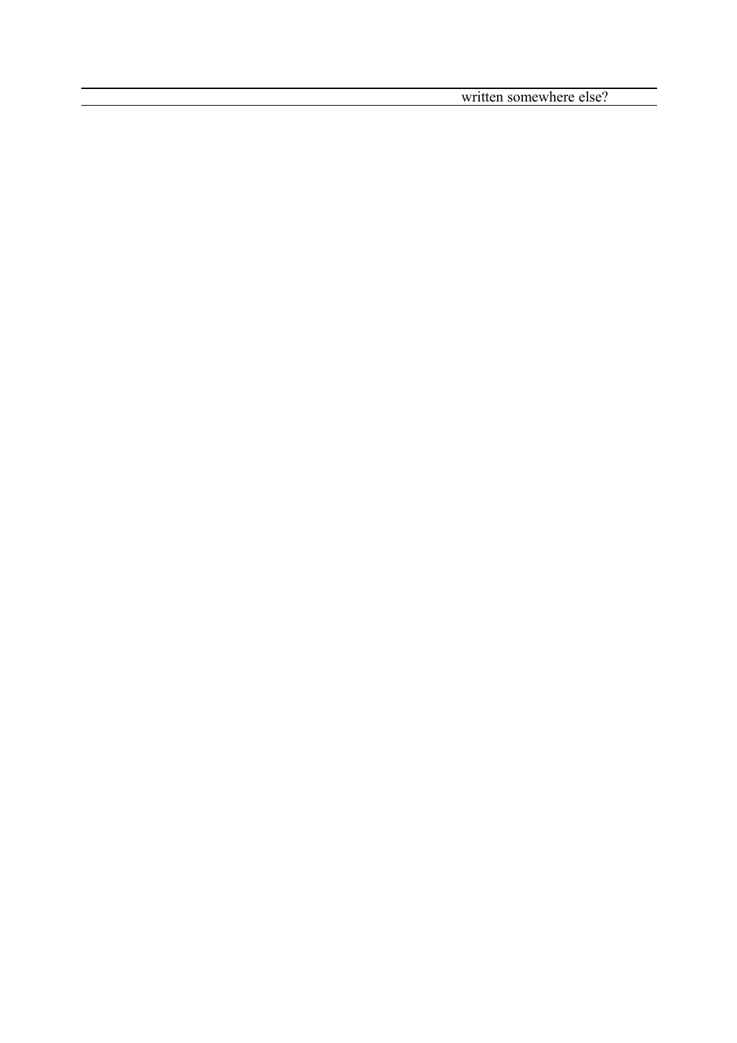written somewhere else?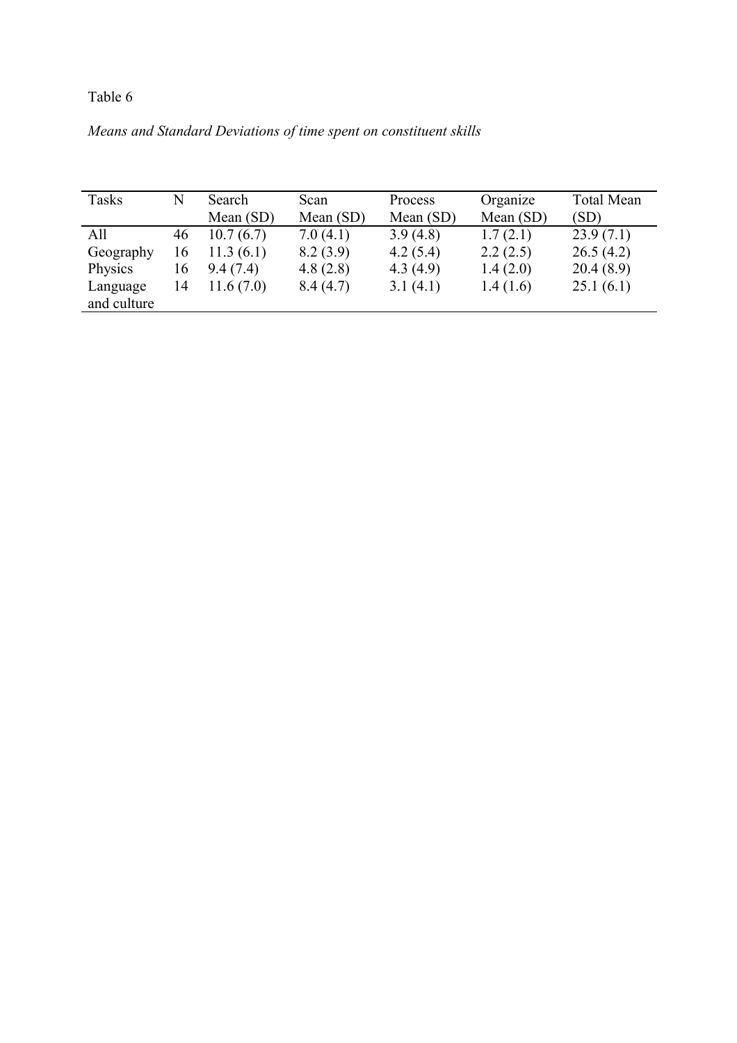*Means and Standard Deviations of time spent on constituent skills*

| <b>Tasks</b> | N  | Search      | Scan      | Process   | Organize  | <b>Total Mean</b> |
|--------------|----|-------------|-----------|-----------|-----------|-------------------|
|              |    | Mean $(SD)$ | Mean (SD) | Mean (SD) | Mean (SD) | (SD)              |
| All          | 46 | 10.7(6.7)   | 7.0(4.1)  | 3.9(4.8)  | 1.7(2.1)  | 23.9(7.1)         |
| Geography    | 16 | 11.3(6.1)   | 8.2(3.9)  | 4.2(5.4)  | 2.2(2.5)  | 26.5(4.2)         |
| Physics      | 16 | 9.4(7.4)    | 4.8(2.8)  | 4.3(4.9)  | 1.4(2.0)  | 20.4(8.9)         |
| Language     | 14 | 11.6(7.0)   | 8.4(4.7)  | 3.1(4.1)  | 1.4(1.6)  | 25.1(6.1)         |
| and culture  |    |             |           |           |           |                   |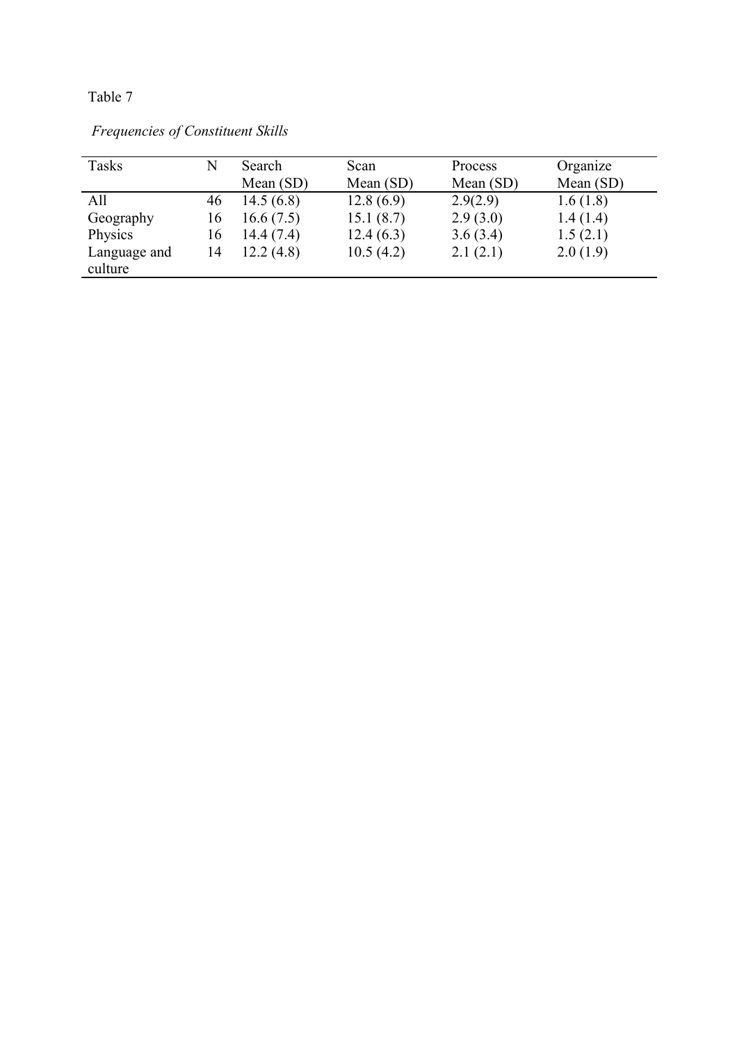| Tasks        | N  | Search       | Scan        | Process   | Organize    |
|--------------|----|--------------|-------------|-----------|-------------|
|              |    | Mean $(SD)$  | Mean $(SD)$ | Mean (SD) | Mean $(SD)$ |
| All          | 46 | 14.5 $(6.8)$ | 12.8(6.9)   | 2.9(2.9)  | 1.6(1.8)    |
| Geography    | 16 | 16.6(7.5)    | 15.1(8.7)   | 2.9(3.0)  | 1.4(1.4)    |
| Physics      | 16 | 14.4(7.4)    | 12.4(6.3)   | 3.6(3.4)  | 1.5(2.1)    |
| Language and | 14 | 12.2(4.8)    | 10.5(4.2)   | 2.1(2.1)  | 2.0(1.9)    |
| culture      |    |              |             |           |             |

*Frequencies of Constituent Skills*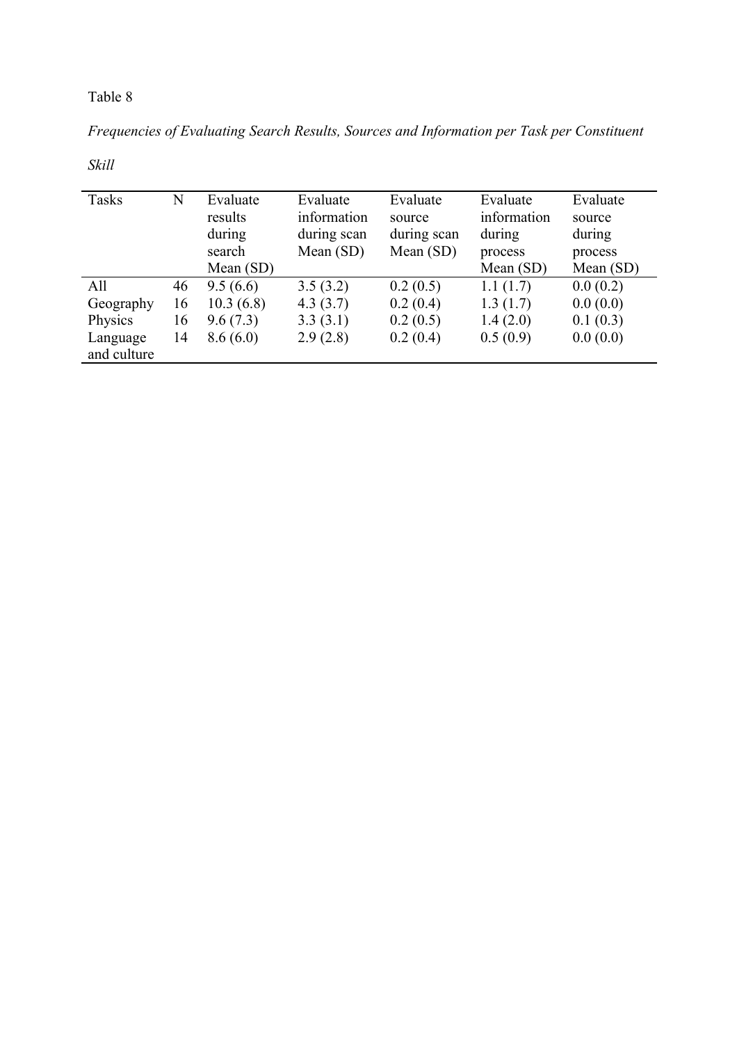*Frequencies of Evaluating Search Results, Sources and Information per Task per Constituent*

| Tasks       | N  | Evaluate    | Evaluate    | Evaluate    | Evaluate    | Evaluate  |
|-------------|----|-------------|-------------|-------------|-------------|-----------|
|             |    | results     | information | source      | information | source    |
|             |    | during      | during scan | during scan | during      | during    |
|             |    | search      | Mean $(SD)$ | Mean $(SD)$ | process     | process   |
|             |    | Mean $(SD)$ |             |             | Mean $(SD)$ | Mean (SD) |
| All         | 46 | 9.5(6.6)    | 3.5(3.2)    | 0.2(0.5)    | 1.1(1.7)    | 0.0(0.2)  |
| Geography   | 16 | 10.3(6.8)   | 4.3(3.7)    | 0.2(0.4)    | 1.3(1.7)    | 0.0(0.0)  |
| Physics     | 16 | 9.6(7.3)    | 3.3(3.1)    | 0.2(0.5)    | 1.4(2.0)    | 0.1(0.3)  |
| Language    | 14 | 8.6(6.0)    | 2.9(2.8)    | 0.2(0.4)    | 0.5(0.9)    | 0.0(0.0)  |
| and culture |    |             |             |             |             |           |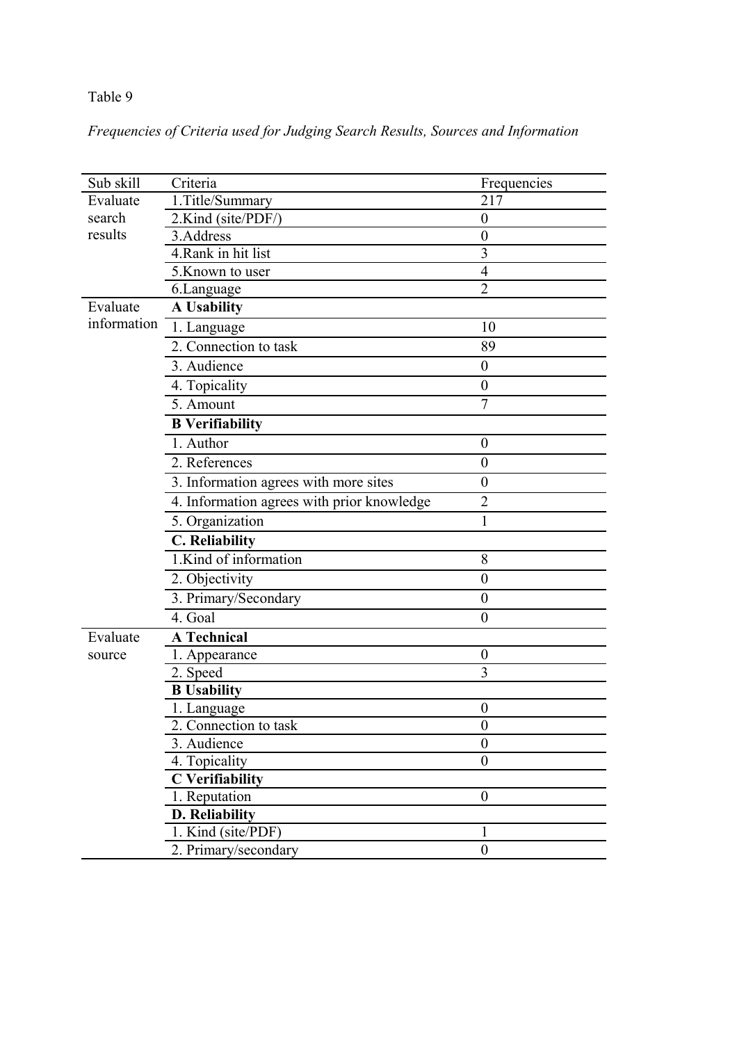*Frequencies of Criteria used for Judging Search Results, Sources and Information* 

| Sub skill   | Criteria                                   | Frequencies      |
|-------------|--------------------------------------------|------------------|
| Evaluate    | 1. Title/Summary                           | 217              |
| search      | 2.Kind (site/PDF/)                         | $\boldsymbol{0}$ |
| results     | 3.Address                                  | $\boldsymbol{0}$ |
|             | 4. Rank in hit list                        | 3                |
|             | 5. Known to user                           | $\overline{4}$   |
|             | 6.Language                                 | $\overline{2}$   |
| Evaluate    | <b>A Usability</b>                         |                  |
| information | 1. Language                                | 10               |
|             | 2. Connection to task                      | 89               |
|             | 3. Audience                                | $\boldsymbol{0}$ |
|             | 4. Topicality                              | $\boldsymbol{0}$ |
|             | 5. Amount                                  | $\overline{7}$   |
|             | <b>B</b> Verifiability                     |                  |
|             | 1. Author                                  | $\overline{0}$   |
|             | 2. References                              | $\boldsymbol{0}$ |
|             | 3. Information agrees with more sites      | $\boldsymbol{0}$ |
|             | 4. Information agrees with prior knowledge | $\overline{2}$   |
|             | 5. Organization                            | 1                |
|             | <b>C.</b> Reliability                      |                  |
|             | 1.Kind of information                      | 8                |
|             | 2. Objectivity                             | $\overline{0}$   |
|             | 3. Primary/Secondary                       | $\overline{0}$   |
|             | 4. Goal                                    | $\overline{0}$   |
| Evaluate    | <b>A</b> Technical                         |                  |
| source      | 1. Appearance                              | $\boldsymbol{0}$ |
|             | 2. Speed                                   | $\overline{3}$   |
|             | <b>B</b> Usability                         |                  |
|             | 1. Language                                | $\boldsymbol{0}$ |
|             | 2. Connection to task                      | $\boldsymbol{0}$ |
|             | 3. Audience                                | $\theta$         |
|             | 4. Topicality                              | $\overline{0}$   |
|             | <b>C</b> Verifiability                     |                  |
|             | 1. Reputation                              | $\boldsymbol{0}$ |
|             | D. Reliability                             |                  |
|             | 1. Kind (site/PDF)                         | 1                |
|             | 2. Primary/secondary                       | $\boldsymbol{0}$ |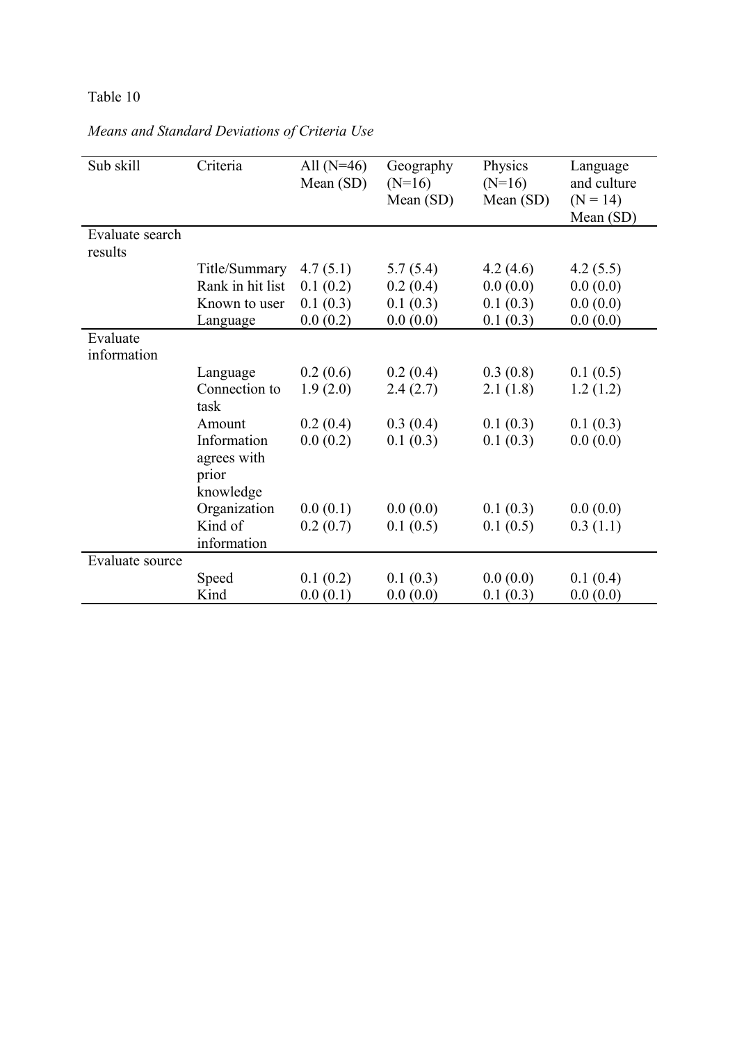| Sub skill       | Criteria         | All $(N=46)$<br>Mean $(SD)$ | Geography<br>$(N=16)$ | Physics<br>$(N=16)$ | Language<br>and culture |
|-----------------|------------------|-----------------------------|-----------------------|---------------------|-------------------------|
|                 |                  |                             | Mean (SD)             | Mean $(SD)$         | $(N = 14)$              |
|                 |                  |                             |                       |                     | Mean (SD)               |
| Evaluate search |                  |                             |                       |                     |                         |
| results         |                  |                             |                       |                     |                         |
|                 | Title/Summary    | 4.7(5.1)                    | 5.7(5.4)              | 4.2(4.6)            | 4.2(5.5)                |
|                 | Rank in hit list | 0.1(0.2)                    | 0.2(0.4)              | 0.0(0.0)            | 0.0(0.0)                |
|                 | Known to user    | 0.1(0.3)                    | 0.1(0.3)              | 0.1(0.3)            | 0.0(0.0)                |
|                 | Language         | 0.0(0.2)                    | 0.0(0.0)              | 0.1(0.3)            | 0.0(0.0)                |
| Evaluate        |                  |                             |                       |                     |                         |
| information     |                  |                             |                       |                     |                         |
|                 | Language         | 0.2(0.6)                    | 0.2(0.4)              | 0.3(0.8)            | 0.1(0.5)                |
|                 | Connection to    | 1.9(2.0)                    | 2.4(2.7)              | 2.1(1.8)            | 1.2(1.2)                |
|                 | task             |                             |                       |                     |                         |
|                 | Amount           | 0.2(0.4)                    | 0.3(0.4)              | 0.1(0.3)            | 0.1(0.3)                |
|                 | Information      | 0.0(0.2)                    | 0.1(0.3)              | 0.1(0.3)            | 0.0(0.0)                |
|                 | agrees with      |                             |                       |                     |                         |
|                 | prior            |                             |                       |                     |                         |
|                 | knowledge        |                             |                       |                     |                         |
|                 | Organization     | 0.0(0.1)                    | 0.0(0.0)              | 0.1(0.3)            | 0.0(0.0)                |
|                 | Kind of          | 0.2(0.7)                    | 0.1(0.5)              | 0.1(0.5)            | 0.3(1.1)                |
|                 | information      |                             |                       |                     |                         |
| Evaluate source |                  |                             |                       |                     |                         |
|                 | Speed            | 0.1(0.2)                    | 0.1(0.3)              | 0.0(0.0)            | 0.1(0.4)                |
|                 | Kind             | 0.0(0.1)                    | 0.0(0.0)              | 0.1(0.3)            | 0.0(0.0)                |
|                 |                  |                             |                       |                     |                         |

# *Means and Standard Deviations of Criteria Use*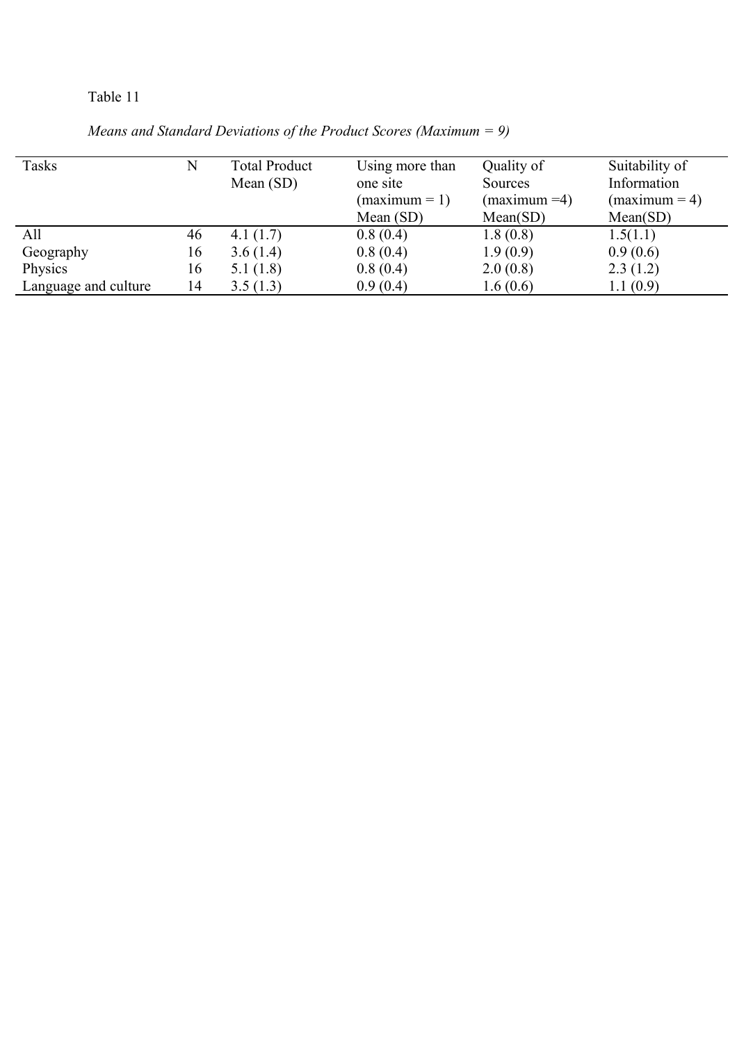| Tasks                | N  | <b>Total Product</b> | Using more than        | Quality of      | Suitability of  |
|----------------------|----|----------------------|------------------------|-----------------|-----------------|
|                      |    | Mean $(SD)$          | one site               | Sources         | Information     |
|                      |    |                      | $(\text{maximum} = 1)$ | $(maximum = 4)$ | $(maximum = 4)$ |
|                      |    |                      | Mean $(SD)$            | Mean(SD)        | Mean(SD)        |
| All                  | 46 | 4.1 $(1.7)$          | 0.8(0.4)               | 1.8(0.8)        | 1.5(1.1)        |
| Geography            | 16 | 3.6(1.4)             | 0.8(0.4)               | 1.9(0.9)        | 0.9(0.6)        |
| Physics              | 16 | 5.1(1.8)             | 0.8(0.4)               | 2.0(0.8)        | 2.3(1.2)        |
| Language and culture | 14 | 3.5(1.3)             | 0.9(0.4)               | 1.6(0.6)        | 1.1(0.9)        |

*Means and Standard Deviations of the Product Scores (Maximum = 9)*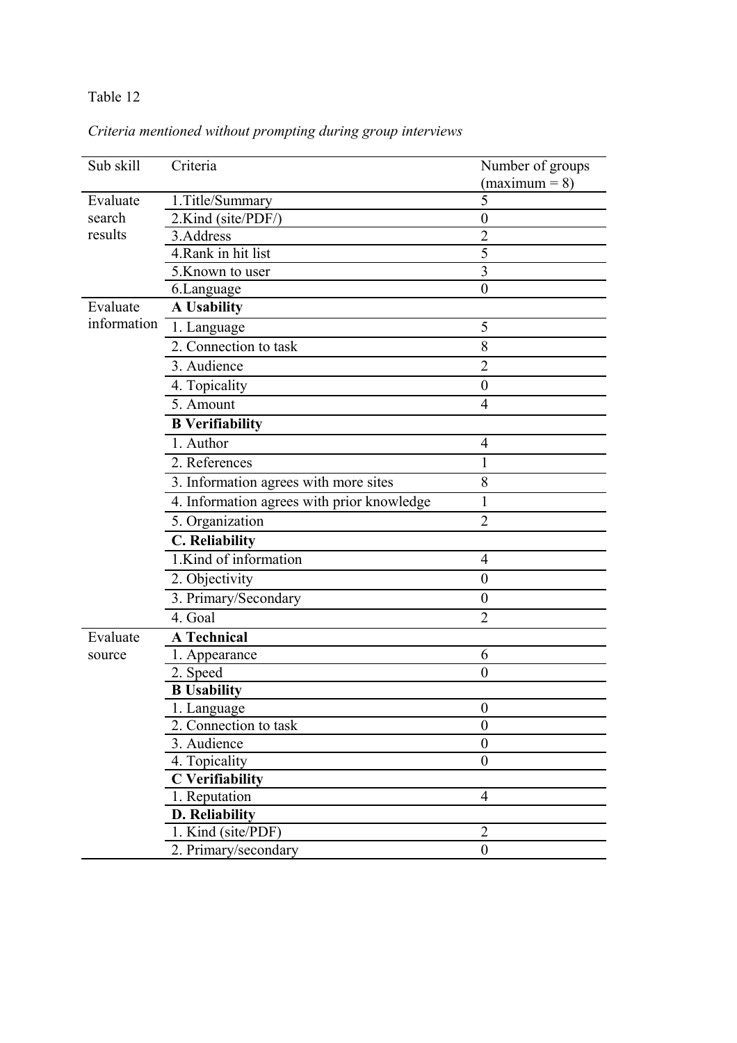|  |  | Criteria mentioned without prompting during group interviews |  |  |
|--|--|--------------------------------------------------------------|--|--|
|  |  |                                                              |  |  |

| Sub skill   | Criteria                                   | Number of groups<br>$(maximum = 8)$ |
|-------------|--------------------------------------------|-------------------------------------|
| Evaluate    | 1. Title/Summary                           | 5                                   |
| search      | 2.Kind (site/PDF/)                         | $\boldsymbol{0}$                    |
| results     | 3.Address                                  | $\overline{2}$                      |
|             | 4. Rank in hit list                        | $\overline{5}$                      |
|             | 5. Known to user                           | 3                                   |
|             | 6.Language                                 | $\boldsymbol{0}$                    |
| Evaluate    | A Usability                                |                                     |
| information | 1. Language                                | 5                                   |
|             | 2. Connection to task                      | 8                                   |
|             | 3. Audience                                | $\overline{2}$                      |
|             | 4. Topicality                              | $\boldsymbol{0}$                    |
|             | 5. Amount                                  | 4                                   |
|             | <b>B</b> Verifiability                     |                                     |
|             | 1. Author                                  | $\overline{4}$                      |
|             | 2. References                              | 1                                   |
|             | 3. Information agrees with more sites      | 8                                   |
|             | 4. Information agrees with prior knowledge | 1                                   |
|             | 5. Organization                            | $\overline{2}$                      |
|             | <b>C.</b> Reliability                      |                                     |
|             | 1.Kind of information                      | $\overline{4}$                      |
|             | 2. Objectivity                             | $\boldsymbol{0}$                    |
|             | 3. Primary/Secondary                       | $\boldsymbol{0}$                    |
|             | 4. Goal                                    | $\overline{2}$                      |
| Evaluate    | <b>A</b> Technical                         |                                     |
| source      | 1. Appearance                              | 6                                   |
|             | 2. Speed                                   | $\overline{0}$                      |
|             | <b>B</b> Usability                         |                                     |
|             | 1. Language                                | $\theta$                            |
|             | 2. Connection to task                      | $\overline{0}$                      |
|             | 3. Audience                                | $\boldsymbol{0}$                    |
|             | 4. Topicality                              | $\boldsymbol{0}$                    |
|             | <b>C</b> Verifiability                     |                                     |
|             | 1. Reputation                              | 4                                   |
|             | <b>D.</b> Reliability                      |                                     |
|             | 1. Kind (site/PDF)                         | $\overline{2}$                      |
|             | 2. Primary/secondary                       | $\boldsymbol{0}$                    |